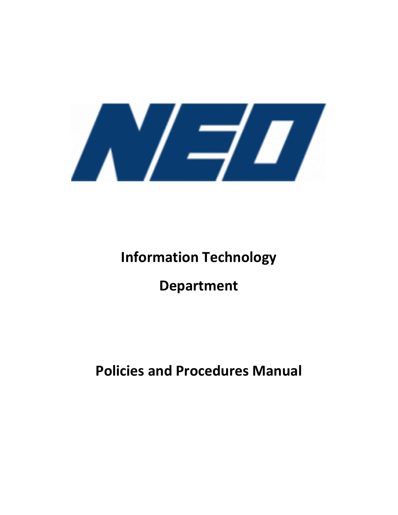

# **Information Technology**

## **Department**

## **Policies and Procedures Manual**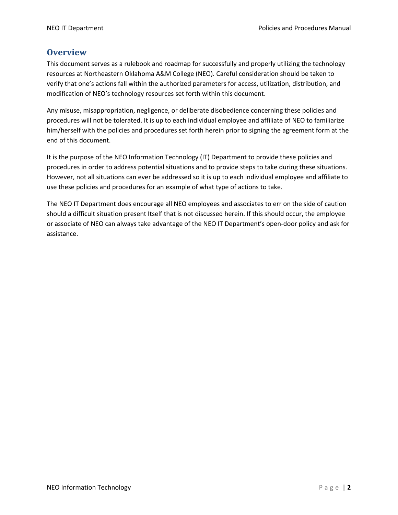## **Overview**

This document serves as a rulebook and roadmap for successfully and properly utilizing the technology resources at Northeastern Oklahoma A&M College (NEO). Careful consideration should be taken to verify that one's actions fall within the authorized parameters for access, utilization, distribution, and modification of NEO's technology resources set forth within this document.

Any misuse, misappropriation, negligence, or deliberate disobedience concerning these policies and procedures will not be tolerated. It is up to each individual employee and affiliate of NEO to familiarize him/herself with the policies and procedures set forth herein prior to signing the agreement form at the end of this document.

It is the purpose of the NEO Information Technology (IT) Department to provide these policies and procedures in order to address potential situations and to provide steps to take during these situations. However, not all situations can ever be addressed so it is up to each individual employee and affiliate to use these policies and procedures for an example of what type of actions to take.

The NEO IT Department does encourage all NEO employees and associates to err on the side of caution should a difficult situation present Itself that is not discussed herein. If this should occur, the employee or associate of NEO can always take advantage of the NEO IT Department's open-door policy and ask for assistance.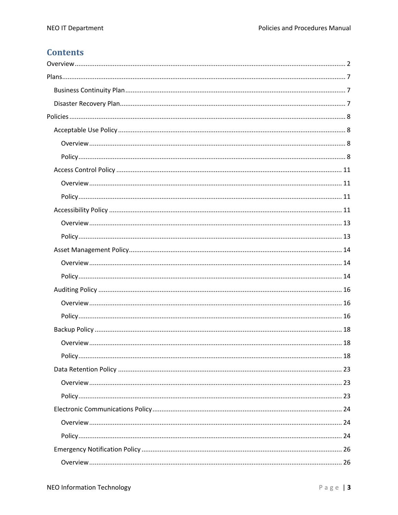## **Contents**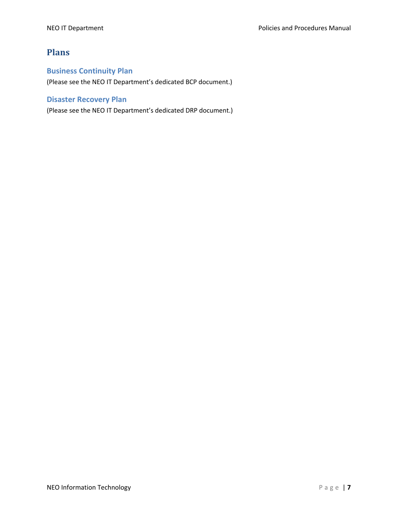## **Plans**

## **Business Continuity Plan**

(Please see the NEO IT Department's dedicated BCP document.)

## **Disaster Recovery Plan**

(Please see the NEO IT Department's dedicated DRP document.)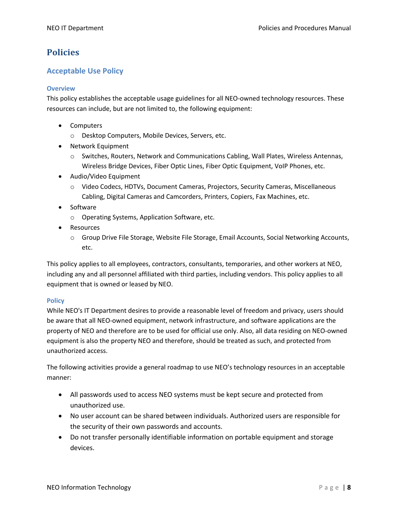## **Policies**

## **Acceptable Use Policy**

#### **Overview**

This policy establishes the acceptable usage guidelines for all NEO-owned technology resources. These resources can include, but are not limited to, the following equipment:

- Computers
	- o Desktop Computers, Mobile Devices, Servers, etc.
- Network Equipment
	- o Switches, Routers, Network and Communications Cabling, Wall Plates, Wireless Antennas, Wireless Bridge Devices, Fiber Optic Lines, Fiber Optic Equipment, VoIP Phones, etc.
- Audio/Video Equipment
	- o Video Codecs, HDTVs, Document Cameras, Projectors, Security Cameras, Miscellaneous Cabling, Digital Cameras and Camcorders, Printers, Copiers, Fax Machines, etc.
- Software
	- o Operating Systems, Application Software, etc.
- Resources
	- o Group Drive File Storage, Website File Storage, Email Accounts, Social Networking Accounts, etc.

This policy applies to all employees, contractors, consultants, temporaries, and other workers at NEO, including any and all personnel affiliated with third parties, including vendors. This policy applies to all equipment that is owned or leased by NEO.

### **Policy**

While NEO's IT Department desires to provide a reasonable level of freedom and privacy, users should be aware that all NEO-owned equipment, network infrastructure, and software applications are the property of NEO and therefore are to be used for official use only. Also, all data residing on NEO-owned equipment is also the property NEO and therefore, should be treated as such, and protected from unauthorized access.

The following activities provide a general roadmap to use NEO's technology resources in an acceptable manner:

- All passwords used to access NEO systems must be kept secure and protected from unauthorized use.
- No user account can be shared between individuals. Authorized users are responsible for the security of their own passwords and accounts.
- Do not transfer personally identifiable information on portable equipment and storage devices.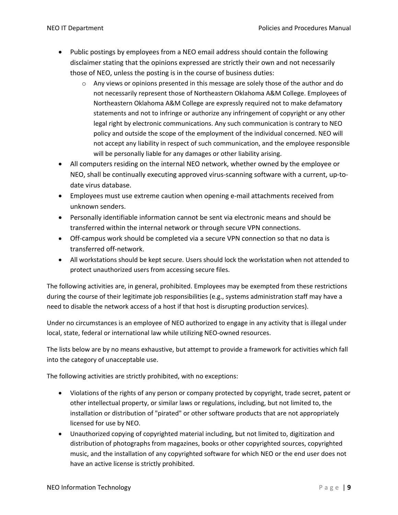- Public postings by employees from a NEO email address should contain the following disclaimer stating that the opinions expressed are strictly their own and not necessarily those of NEO, unless the posting is in the course of business duties:
	- $\circ$  Any views or opinions presented in this message are solely those of the author and do not necessarily represent those of Northeastern Oklahoma A&M College. Employees of Northeastern Oklahoma A&M College are expressly required not to make defamatory statements and not to infringe or authorize any infringement of copyright or any other legal right by electronic communications. Any such communication is contrary to NEO policy and outside the scope of the employment of the individual concerned. NEO will not accept any liability in respect of such communication, and the employee responsible will be personally liable for any damages or other liability arising.
- All computers residing on the internal NEO network, whether owned by the employee or NEO, shall be continually executing approved virus-scanning software with a current, up-todate virus database.
- Employees must use extreme caution when opening e-mail attachments received from unknown senders.
- Personally identifiable information cannot be sent via electronic means and should be transferred within the internal network or through secure VPN connections.
- Off-campus work should be completed via a secure VPN connection so that no data is transferred off-network.
- All workstations should be kept secure. Users should lock the workstation when not attended to protect unauthorized users from accessing secure files.

The following activities are, in general, prohibited. Employees may be exempted from these restrictions during the course of their legitimate job responsibilities (e.g., systems administration staff may have a need to disable the network access of a host if that host is disrupting production services).

Under no circumstances is an employee of NEO authorized to engage in any activity that is illegal under local, state, federal or international law while utilizing NEO-owned resources.

The lists below are by no means exhaustive, but attempt to provide a framework for activities which fall into the category of unacceptable use.

The following activities are strictly prohibited, with no exceptions:

- Violations of the rights of any person or company protected by copyright, trade secret, patent or other intellectual property, or similar laws or regulations, including, but not limited to, the installation or distribution of "pirated" or other software products that are not appropriately licensed for use by NEO.
- Unauthorized copying of copyrighted material including, but not limited to, digitization and distribution of photographs from magazines, books or other copyrighted sources, copyrighted music, and the installation of any copyrighted software for which NEO or the end user does not have an active license is strictly prohibited.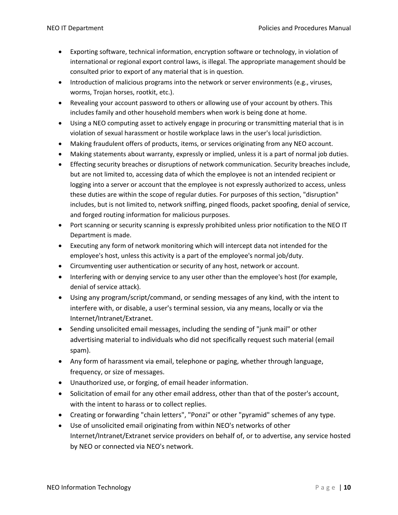- Exporting software, technical information, encryption software or technology, in violation of international or regional export control laws, is illegal. The appropriate management should be consulted prior to export of any material that is in question.
- Introduction of malicious programs into the network or server environments (e.g., viruses, worms, Trojan horses, rootkit, etc.).
- Revealing your account password to others or allowing use of your account by others. This includes family and other household members when work is being done at home.
- Using a NEO computing asset to actively engage in procuring or transmitting material that is in violation of sexual harassment or hostile workplace laws in the user's local jurisdiction.
- Making fraudulent offers of products, items, or services originating from any NEO account.
- Making statements about warranty, expressly or implied, unless it is a part of normal job duties.
- Effecting security breaches or disruptions of network communication. Security breaches include, but are not limited to, accessing data of which the employee is not an intended recipient or logging into a server or account that the employee is not expressly authorized to access, unless these duties are within the scope of regular duties. For purposes of this section, "disruption" includes, but is not limited to, network sniffing, pinged floods, packet spoofing, denial of service, and forged routing information for malicious purposes.
- Port scanning or security scanning is expressly prohibited unless prior notification to the NEO IT Department is made.
- Executing any form of network monitoring which will intercept data not intended for the employee's host, unless this activity is a part of the employee's normal job/duty.
- Circumventing user authentication or security of any host, network or account.
- Interfering with or denying service to any user other than the employee's host (for example, denial of service attack).
- Using any program/script/command, or sending messages of any kind, with the intent to interfere with, or disable, a user's terminal session, via any means, locally or via the Internet/Intranet/Extranet.
- Sending unsolicited email messages, including the sending of "junk mail" or other advertising material to individuals who did not specifically request such material (email spam).
- Any form of harassment via email, telephone or paging, whether through language, frequency, or size of messages.
- Unauthorized use, or forging, of email header information.
- Solicitation of email for any other email address, other than that of the poster's account, with the intent to harass or to collect replies.
- Creating or forwarding "chain letters", "Ponzi" or other "pyramid" schemes of any type.
- Use of unsolicited email originating from within NEO's networks of other Internet/Intranet/Extranet service providers on behalf of, or to advertise, any service hosted by NEO or connected via NEO's network.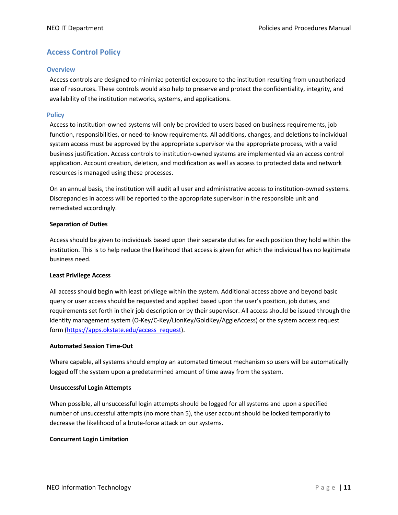## **Access Control Policy**

#### **Overview**

Access controls are designed to minimize potential exposure to the institution resulting from unauthorized use of resources. These controls would also help to preserve and protect the confidentiality, integrity, and availability of the institution networks, systems, and applications.

#### **Policy**

Access to institution-owned systems will only be provided to users based on business requirements, job function, responsibilities, or need-to-know requirements. All additions, changes, and deletions to individual system access must be approved by the appropriate supervisor via the appropriate process, with a valid business justification. Access controls to institution-owned systems are implemented via an access control application. Account creation, deletion, and modification as well as access to protected data and network resources is managed using these processes.

On an annual basis, the institution will audit all user and administrative access to institution-owned systems. Discrepancies in access will be reported to the appropriate supervisor in the responsible unit and remediated accordingly.

#### **Separation of Duties**

Access should be given to individuals based upon their separate duties for each position they hold within the institution. This is to help reduce the likelihood that access is given for which the individual has no legitimate business need.

#### **Least Privilege Access**

All access should begin with least privilege within the system. Additional access above and beyond basic query or user access should be requested and applied based upon the user's position, job duties, and requirements set forth in their job description or by their supervisor. All access should be issued through the identity management system (O-Key/C-Key/LionKey/GoldKey/AggieAccess) or the system access request form (https://apps.okstate.edu/access\_request).

#### **Automated Session Time-Out**

Where capable, all systems should employ an automated timeout mechanism so users will be automatically logged off the system upon a predetermined amount of time away from the system.

#### **Unsuccessful Login Attempts**

When possible, all unsuccessful login attempts should be logged for all systems and upon a specified number of unsuccessful attempts (no more than 5), the user account should be locked temporarily to decrease the likelihood of a brute-force attack on our systems.

#### **Concurrent Login Limitation**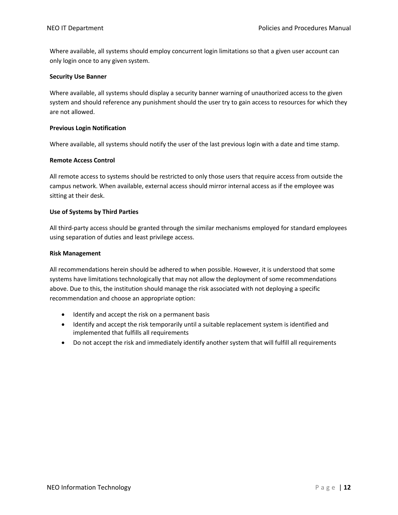Where available, all systems should employ concurrent login limitations so that a given user account can only login once to any given system.

#### **Security Use Banner**

Where available, all systems should display a security banner warning of unauthorized access to the given system and should reference any punishment should the user try to gain access to resources for which they are not allowed.

#### **Previous Login Notification**

Where available, all systems should notify the user of the last previous login with a date and time stamp.

#### **Remote Access Control**

All remote access to systems should be restricted to only those users that require access from outside the campus network. When available, external access should mirror internal access as if the employee was sitting at their desk.

#### **Use of Systems by Third Parties**

All third-party access should be granted through the similar mechanisms employed for standard employees using separation of duties and least privilege access.

#### **Risk Management**

All recommendations herein should be adhered to when possible. However, it is understood that some systems have limitations technologically that may not allow the deployment of some recommendations above. Due to this, the institution should manage the risk associated with not deploying a specific recommendation and choose an appropriate option:

- Identify and accept the risk on a permanent basis
- Identify and accept the risk temporarily until a suitable replacement system is identified and implemented that fulfills all requirements
- Do not accept the risk and immediately identify another system that will fulfill all requirements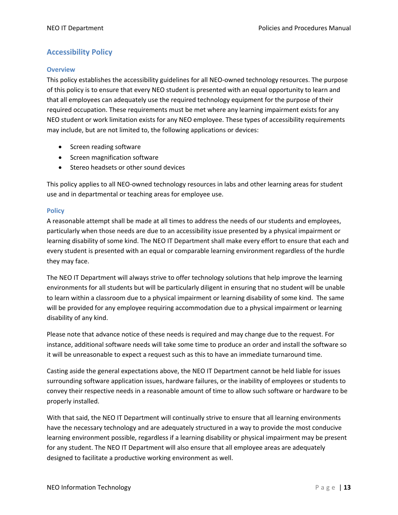## **Accessibility Policy**

#### **Overview**

This policy establishes the accessibility guidelines for all NEO-owned technology resources. The purpose of this policy is to ensure that every NEO student is presented with an equal opportunity to learn and that all employees can adequately use the required technology equipment for the purpose of their required occupation. These requirements must be met where any learning impairment exists for any NEO student or work limitation exists for any NEO employee. These types of accessibility requirements may include, but are not limited to, the following applications or devices:

- Screen reading software
- Screen magnification software
- Stereo headsets or other sound devices

This policy applies to all NEO-owned technology resources in labs and other learning areas for student use and in departmental or teaching areas for employee use.

#### **Policy**

A reasonable attempt shall be made at all times to address the needs of our students and employees, particularly when those needs are due to an accessibility issue presented by a physical impairment or learning disability of some kind. The NEO IT Department shall make every effort to ensure that each and every student is presented with an equal or comparable learning environment regardless of the hurdle they may face.

The NEO IT Department will always strive to offer technology solutions that help improve the learning environments for all students but will be particularly diligent in ensuring that no student will be unable to learn within a classroom due to a physical impairment or learning disability of some kind. The same will be provided for any employee requiring accommodation due to a physical impairment or learning disability of any kind.

Please note that advance notice of these needs is required and may change due to the request. For instance, additional software needs will take some time to produce an order and install the software so it will be unreasonable to expect a request such as this to have an immediate turnaround time.

Casting aside the general expectations above, the NEO IT Department cannot be held liable for issues surrounding software application issues, hardware failures, or the inability of employees or students to convey their respective needs in a reasonable amount of time to allow such software or hardware to be properly installed.

With that said, the NEO IT Department will continually strive to ensure that all learning environments have the necessary technology and are adequately structured in a way to provide the most conducive learning environment possible, regardless if a learning disability or physical impairment may be present for any student. The NEO IT Department will also ensure that all employee areas are adequately designed to facilitate a productive working environment as well.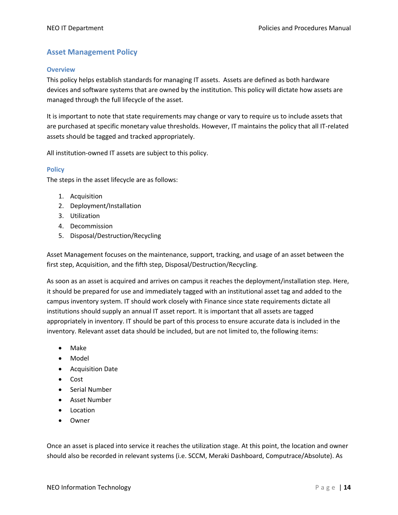## **Asset Management Policy**

#### **Overview**

This policy helps establish standards for managing IT assets. Assets are defined as both hardware devices and software systems that are owned by the institution. This policy will dictate how assets are managed through the full lifecycle of the asset.

It is important to note that state requirements may change or vary to require us to include assets that are purchased at specific monetary value thresholds. However, IT maintains the policy that all IT-related assets should be tagged and tracked appropriately.

All institution-owned IT assets are subject to this policy.

#### **Policy**

The steps in the asset lifecycle are as follows:

- 1. Acquisition
- 2. Deployment/Installation
- 3. Utilization
- 4. Decommission
- 5. Disposal/Destruction/Recycling

Asset Management focuses on the maintenance, support, tracking, and usage of an asset between the first step, Acquisition, and the fifth step, Disposal/Destruction/Recycling.

As soon as an asset is acquired and arrives on campus it reaches the deployment/installation step. Here, it should be prepared for use and immediately tagged with an institutional asset tag and added to the campus inventory system. IT should work closely with Finance since state requirements dictate all institutions should supply an annual IT asset report. It is important that all assets are tagged appropriately in inventory. IT should be part of this process to ensure accurate data is included in the inventory. Relevant asset data should be included, but are not limited to, the following items:

- Make
- Model
- Acquisition Date
- Cost
- Serial Number
- Asset Number
- Location
- Owner

Once an asset is placed into service it reaches the utilization stage. At this point, the location and owner should also be recorded in relevant systems (i.e. SCCM, Meraki Dashboard, Computrace/Absolute). As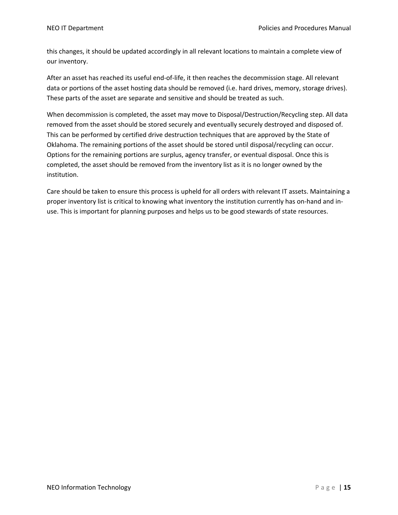this changes, it should be updated accordingly in all relevant locations to maintain a complete view of our inventory.

After an asset has reached its useful end-of-life, it then reaches the decommission stage. All relevant data or portions of the asset hosting data should be removed (i.e. hard drives, memory, storage drives). These parts of the asset are separate and sensitive and should be treated as such.

When decommission is completed, the asset may move to Disposal/Destruction/Recycling step. All data removed from the asset should be stored securely and eventually securely destroyed and disposed of. This can be performed by certified drive destruction techniques that are approved by the State of Oklahoma. The remaining portions of the asset should be stored until disposal/recycling can occur. Options for the remaining portions are surplus, agency transfer, or eventual disposal. Once this is completed, the asset should be removed from the inventory list as it is no longer owned by the institution.

Care should be taken to ensure this process is upheld for all orders with relevant IT assets. Maintaining a proper inventory list is critical to knowing what inventory the institution currently has on-hand and inuse. This is important for planning purposes and helps us to be good stewards of state resources.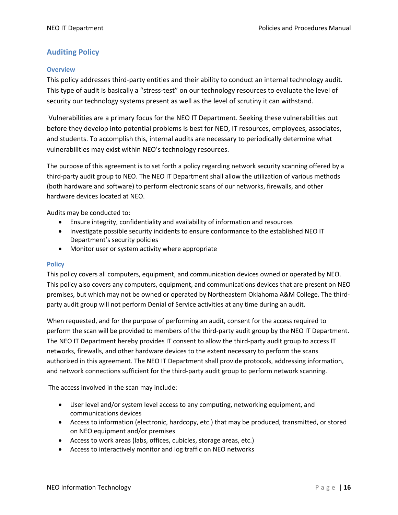## **Auditing Policy**

#### **Overview**

This policy addresses third-party entities and their ability to conduct an internal technology audit. This type of audit is basically a "stress-test" on our technology resources to evaluate the level of security our technology systems present as well as the level of scrutiny it can withstand.

Vulnerabilities are a primary focus for the NEO IT Department. Seeking these vulnerabilities out before they develop into potential problems is best for NEO, IT resources, employees, associates, and students. To accomplish this, internal audits are necessary to periodically determine what vulnerabilities may exist within NEO's technology resources.

The purpose of this agreement is to set forth a policy regarding network security scanning offered by a third-party audit group to NEO. The NEO IT Department shall allow the utilization of various methods (both hardware and software) to perform electronic scans of our networks, firewalls, and other hardware devices located at NEO.

Audits may be conducted to:

- Ensure integrity, confidentiality and availability of information and resources
- Investigate possible security incidents to ensure conformance to the established NEO IT Department's security policies
- Monitor user or system activity where appropriate

#### **Policy**

This policy covers all computers, equipment, and communication devices owned or operated by NEO. This policy also covers any computers, equipment, and communications devices that are present on NEO premises, but which may not be owned or operated by Northeastern Oklahoma A&M College. The thirdparty audit group will not perform Denial of Service activities at any time during an audit.

When requested, and for the purpose of performing an audit, consent for the access required to perform the scan will be provided to members of the third-party audit group by the NEO IT Department. The NEO IT Department hereby provides IT consent to allow the third-party audit group to access IT networks, firewalls, and other hardware devices to the extent necessary to perform the scans authorized in this agreement. The NEO IT Department shall provide protocols, addressing information, and network connections sufficient for the third-party audit group to perform network scanning.

The access involved in the scan may include:

- User level and/or system level access to any computing, networking equipment, and communications devices
- Access to information (electronic, hardcopy, etc.) that may be produced, transmitted, or stored on NEO equipment and/or premises
- Access to work areas (labs, offices, cubicles, storage areas, etc.)
- Access to interactively monitor and log traffic on NEO networks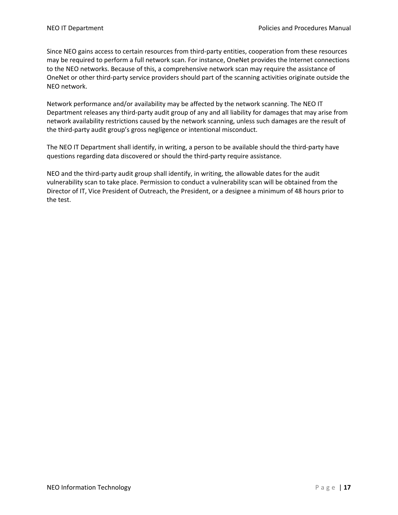Since NEO gains access to certain resources from third-party entities, cooperation from these resources may be required to perform a full network scan. For instance, OneNet provides the Internet connections to the NEO networks. Because of this, a comprehensive network scan may require the assistance of OneNet or other third-party service providers should part of the scanning activities originate outside the NEO network.

Network performance and/or availability may be affected by the network scanning. The NEO IT Department releases any third-party audit group of any and all liability for damages that may arise from network availability restrictions caused by the network scanning, unless such damages are the result of the third-party audit group's gross negligence or intentional misconduct.

The NEO IT Department shall identify, in writing, a person to be available should the third-party have questions regarding data discovered or should the third-party require assistance.

NEO and the third-party audit group shall identify, in writing, the allowable dates for the audit vulnerability scan to take place. Permission to conduct a vulnerability scan will be obtained from the Director of IT, Vice President of Outreach, the President, or a designee a minimum of 48 hours prior to the test.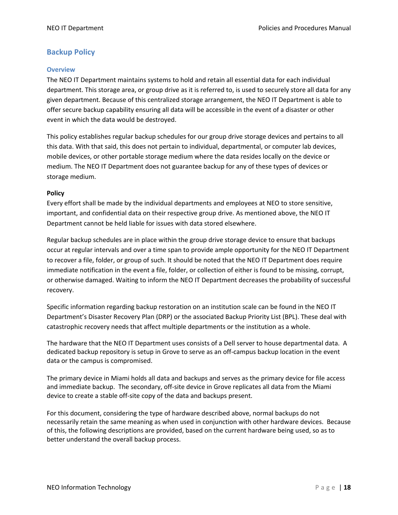## **Backup Policy**

#### **Overview**

The NEO IT Department maintains systems to hold and retain all essential data for each individual department. This storage area, or group drive as it is referred to, is used to securely store all data for any given department. Because of this centralized storage arrangement, the NEO IT Department is able to offer secure backup capability ensuring all data will be accessible in the event of a disaster or other event in which the data would be destroyed.

This policy establishes regular backup schedules for our group drive storage devices and pertains to all this data. With that said, this does not pertain to individual, departmental, or computer lab devices, mobile devices, or other portable storage medium where the data resides locally on the device or medium. The NEO IT Department does not guarantee backup for any of these types of devices or storage medium.

#### **Policy**

Every effort shall be made by the individual departments and employees at NEO to store sensitive, important, and confidential data on their respective group drive. As mentioned above, the NEO IT Department cannot be held liable for issues with data stored elsewhere.

Regular backup schedules are in place within the group drive storage device to ensure that backups occur at regular intervals and over a time span to provide ample opportunity for the NEO IT Department to recover a file, folder, or group of such. It should be noted that the NEO IT Department does require immediate notification in the event a file, folder, or collection of either is found to be missing, corrupt, or otherwise damaged. Waiting to inform the NEO IT Department decreases the probability of successful recovery.

Specific information regarding backup restoration on an institution scale can be found in the NEO IT Department's Disaster Recovery Plan (DRP) or the associated Backup Priority List (BPL). These deal with catastrophic recovery needs that affect multiple departments or the institution as a whole.

The hardware that the NEO IT Department uses consists of a Dell server to house departmental data. A dedicated backup repository is setup in Grove to serve as an off-campus backup location in the event data or the campus is compromised.

The primary device in Miami holds all data and backups and serves as the primary device for file access and immediate backup. The secondary, off-site device in Grove replicates all data from the Miami device to create a stable off-site copy of the data and backups present.

For this document, considering the type of hardware described above, normal backups do not necessarily retain the same meaning as when used in conjunction with other hardware devices. Because of this, the following descriptions are provided, based on the current hardware being used, so as to better understand the overall backup process.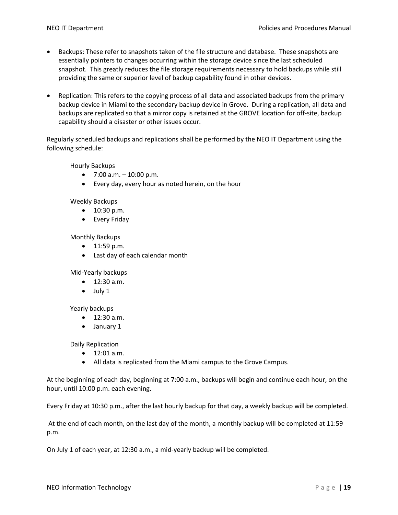- Backups: These refer to snapshots taken of the file structure and database. These snapshots are essentially pointers to changes occurring within the storage device since the last scheduled snapshot. This greatly reduces the file storage requirements necessary to hold backups while still providing the same or superior level of backup capability found in other devices.
- Replication: This refers to the copying process of all data and associated backups from the primary backup device in Miami to the secondary backup device in Grove. During a replication, all data and backups are replicated so that a mirror copy is retained at the GROVE location for off-site, backup capability should a disaster or other issues occur.

Regularly scheduled backups and replications shall be performed by the NEO IT Department using the following schedule:

Hourly Backups

- $7:00$  a.m.  $-10:00$  p.m.
- Every day, every hour as noted herein, on the hour

#### Weekly Backups

- 10:30 p.m.
- Every Friday

Monthly Backups

- 11:59 p.m.
- Last day of each calendar month

Mid-Yearly backups

- 12:30 a.m.
- July 1

Yearly backups

- 12:30 a.m.
- January 1

Daily Replication

- 12:01 a.m.
- All data is replicated from the Miami campus to the Grove Campus.

At the beginning of each day, beginning at 7:00 a.m., backups will begin and continue each hour, on the hour, until 10:00 p.m. each evening.

Every Friday at 10:30 p.m., after the last hourly backup for that day, a weekly backup will be completed.

At the end of each month, on the last day of the month, a monthly backup will be completed at 11:59 p.m.

On July 1 of each year, at 12:30 a.m., a mid-yearly backup will be completed.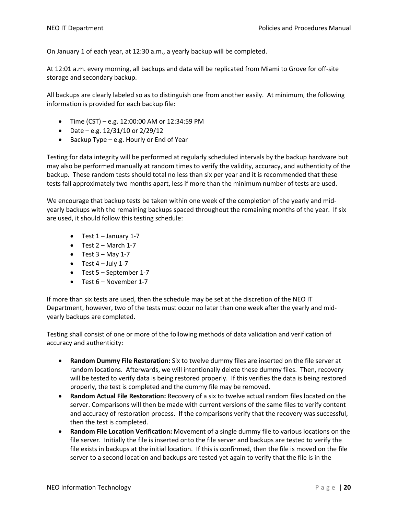On January 1 of each year, at 12:30 a.m., a yearly backup will be completed.

At 12:01 a.m. every morning, all backups and data will be replicated from Miami to Grove for off-site storage and secondary backup.

All backups are clearly labeled so as to distinguish one from another easily. At minimum, the following information is provided for each backup file:

- Time (CST) e.g. 12:00:00 AM or 12:34:59 PM
- Date e.g. 12/31/10 or 2/29/12
- Backup Type e.g. Hourly or End of Year

Testing for data integrity will be performed at regularly scheduled intervals by the backup hardware but may also be performed manually at random times to verify the validity, accuracy, and authenticity of the backup. These random tests should total no less than six per year and it is recommended that these tests fall approximately two months apart, less if more than the minimum number of tests are used.

We encourage that backup tests be taken within one week of the completion of the yearly and midyearly backups with the remaining backups spaced throughout the remaining months of the year. If six are used, it should follow this testing schedule:

- Test 1 January 1-7
- $\bullet$  Test 2 March 1-7
- Test  $3 May 1-7$
- $\bullet$  Test 4 July 1-7
- Test 5 September 1-7
- Test 6 November 1-7

If more than six tests are used, then the schedule may be set at the discretion of the NEO IT Department, however, two of the tests must occur no later than one week after the yearly and midyearly backups are completed.

Testing shall consist of one or more of the following methods of data validation and verification of accuracy and authenticity:

- **Random Dummy File Restoration:** Six to twelve dummy files are inserted on the file server at random locations. Afterwards, we will intentionally delete these dummy files. Then, recovery will be tested to verify data is being restored properly. If this verifies the data is being restored properly, the test is completed and the dummy file may be removed.
- **Random Actual File Restoration:** Recovery of a six to twelve actual random files located on the server. Comparisons will then be made with current versions of the same files to verify content and accuracy of restoration process. If the comparisons verify that the recovery was successful, then the test is completed.
- **Random File Location Verification:** Movement of a single dummy file to various locations on the file server. Initially the file is inserted onto the file server and backups are tested to verify the file exists in backups at the initial location. If this is confirmed, then the file is moved on the file server to a second location and backups are tested yet again to verify that the file is in the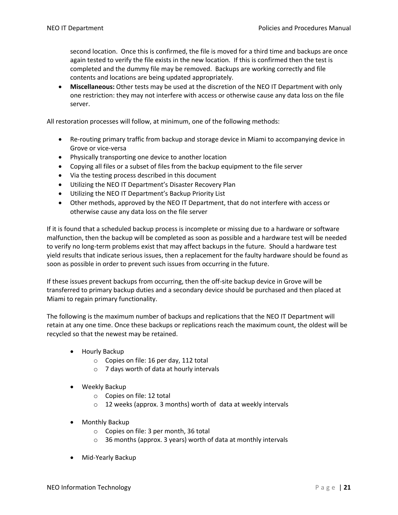second location. Once this is confirmed, the file is moved for a third time and backups are once again tested to verify the file exists in the new location. If this is confirmed then the test is completed and the dummy file may be removed. Backups are working correctly and file contents and locations are being updated appropriately.

• **Miscellaneous:** Other tests may be used at the discretion of the NEO IT Department with only one restriction: they may not interfere with access or otherwise cause any data loss on the file server.

All restoration processes will follow, at minimum, one of the following methods:

- Re-routing primary traffic from backup and storage device in Miami to accompanying device in Grove or vice-versa
- Physically transporting one device to another location
- Copying all files or a subset of files from the backup equipment to the file server
- Via the testing process described in this document
- Utilizing the NEO IT Department's Disaster Recovery Plan
- Utilizing the NEO IT Department's Backup Priority List
- Other methods, approved by the NEO IT Department, that do not interfere with access or otherwise cause any data loss on the file server

If it is found that a scheduled backup process is incomplete or missing due to a hardware or software malfunction, then the backup will be completed as soon as possible and a hardware test will be needed to verify no long-term problems exist that may affect backups in the future. Should a hardware test yield results that indicate serious issues, then a replacement for the faulty hardware should be found as soon as possible in order to prevent such issues from occurring in the future.

If these issues prevent backups from occurring, then the off-site backup device in Grove will be transferred to primary backup duties and a secondary device should be purchased and then placed at Miami to regain primary functionality.

The following is the maximum number of backups and replications that the NEO IT Department will retain at any one time. Once these backups or replications reach the maximum count, the oldest will be recycled so that the newest may be retained.

- Hourly Backup
	- o Copies on file: 16 per day, 112 total
	- o 7 days worth of data at hourly intervals
- Weekly Backup
	- o Copies on file: 12 total
	- o 12 weeks (approx. 3 months) worth of data at weekly intervals
- Monthly Backup
	- o Copies on file: 3 per month, 36 total
	- o 36 months (approx. 3 years) worth of data at monthly intervals
- Mid-Yearly Backup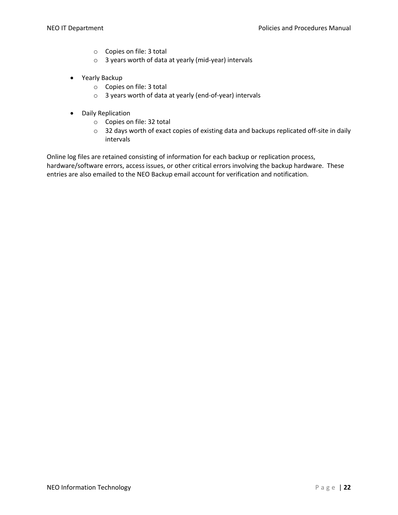- o Copies on file: 3 total
- o 3 years worth of data at yearly (mid-year) intervals
- Yearly Backup
	- o Copies on file: 3 total
	- o 3 years worth of data at yearly (end-of-year) intervals
- Daily Replication
	- o Copies on file: 32 total
	- o 32 days worth of exact copies of existing data and backups replicated off-site in daily intervals

Online log files are retained consisting of information for each backup or replication process, hardware/software errors, access issues, or other critical errors involving the backup hardware. These entries are also emailed to the NEO Backup email account for verification and notification.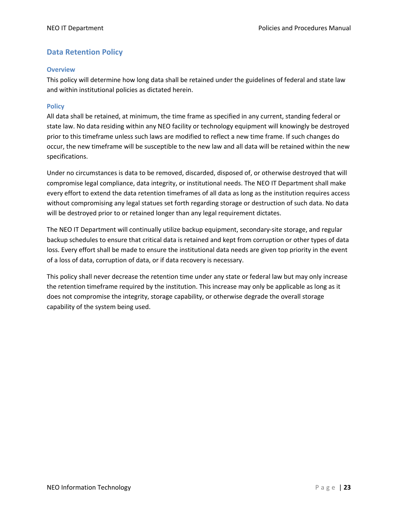## **Data Retention Policy**

#### **Overview**

This policy will determine how long data shall be retained under the guidelines of federal and state law and within institutional policies as dictated herein.

#### **Policy**

All data shall be retained, at minimum, the time frame as specified in any current, standing federal or state law. No data residing within any NEO facility or technology equipment will knowingly be destroyed prior to this timeframe unless such laws are modified to reflect a new time frame. If such changes do occur, the new timeframe will be susceptible to the new law and all data will be retained within the new specifications.

Under no circumstances is data to be removed, discarded, disposed of, or otherwise destroyed that will compromise legal compliance, data integrity, or institutional needs. The NEO IT Department shall make every effort to extend the data retention timeframes of all data as long as the institution requires access without compromising any legal statues set forth regarding storage or destruction of such data. No data will be destroyed prior to or retained longer than any legal requirement dictates.

The NEO IT Department will continually utilize backup equipment, secondary-site storage, and regular backup schedules to ensure that critical data is retained and kept from corruption or other types of data loss. Every effort shall be made to ensure the institutional data needs are given top priority in the event of a loss of data, corruption of data, or if data recovery is necessary.

This policy shall never decrease the retention time under any state or federal law but may only increase the retention timeframe required by the institution. This increase may only be applicable as long as it does not compromise the integrity, storage capability, or otherwise degrade the overall storage capability of the system being used.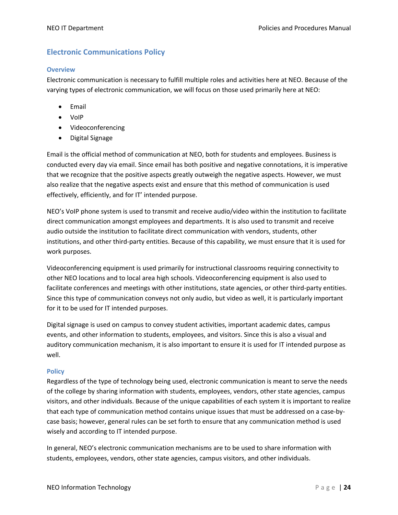## **Electronic Communications Policy**

#### **Overview**

Electronic communication is necessary to fulfill multiple roles and activities here at NEO. Because of the varying types of electronic communication, we will focus on those used primarily here at NEO:

- Email
- VoIP
- Videoconferencing
- Digital Signage

Email is the official method of communication at NEO, both for students and employees. Business is conducted every day via email. Since email has both positive and negative connotations, it is imperative that we recognize that the positive aspects greatly outweigh the negative aspects. However, we must also realize that the negative aspects exist and ensure that this method of communication is used effectively, efficiently, and for IT' intended purpose.

NEO's VoIP phone system is used to transmit and receive audio/video within the institution to facilitate direct communication amongst employees and departments. It is also used to transmit and receive audio outside the institution to facilitate direct communication with vendors, students, other institutions, and other third-party entities. Because of this capability, we must ensure that it is used for work purposes.

Videoconferencing equipment is used primarily for instructional classrooms requiring connectivity to other NEO locations and to local area high schools. Videoconferencing equipment is also used to facilitate conferences and meetings with other institutions, state agencies, or other third-party entities. Since this type of communication conveys not only audio, but video as well, it is particularly important for it to be used for IT intended purposes.

Digital signage is used on campus to convey student activities, important academic dates, campus events, and other information to students, employees, and visitors. Since this is also a visual and auditory communication mechanism, it is also important to ensure it is used for IT intended purpose as well.

#### **Policy**

Regardless of the type of technology being used, electronic communication is meant to serve the needs of the college by sharing information with students, employees, vendors, other state agencies, campus visitors, and other individuals. Because of the unique capabilities of each system it is important to realize that each type of communication method contains unique issues that must be addressed on a case-bycase basis; however, general rules can be set forth to ensure that any communication method is used wisely and according to IT intended purpose.

In general, NEO's electronic communication mechanisms are to be used to share information with students, employees, vendors, other state agencies, campus visitors, and other individuals.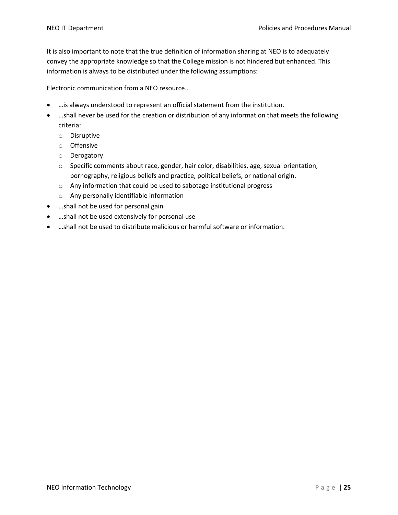It is also important to note that the true definition of information sharing at NEO is to adequately convey the appropriate knowledge so that the College mission is not hindered but enhanced. This information is always to be distributed under the following assumptions:

Electronic communication from a NEO resource…

- …is always understood to represent an official statement from the institution.
- …shall never be used for the creation or distribution of any information that meets the following criteria:
	- o Disruptive
	- o Offensive
	- o Derogatory
	- $\circ$  Specific comments about race, gender, hair color, disabilities, age, sexual orientation, pornography, religious beliefs and practice, political beliefs, or national origin.
	- o Any information that could be used to sabotage institutional progress
	- o Any personally identifiable information
- …shall not be used for personal gain
- …shall not be used extensively for personal use
- …shall not be used to distribute malicious or harmful software or information.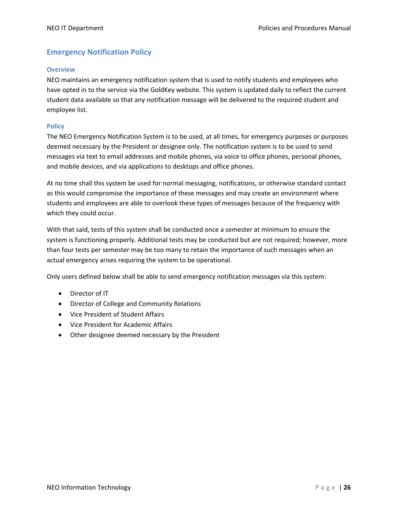### **Emergency Notification Policy**

#### **Overview**

NEO maintains an emergency notification system that is used to notify students and employees who have opted in to the service via the GoldKey website. This system is updated daily to reflect the current student data available so that any notification message will be delivered to the required student and employee list.

#### **Policy**

The NEO Emergency Notification System is to be used, at all times, for emergency purposes or purposes deemed necessary by the President or designee only. The notification system is to be used to send messages via text to email addresses and mobile phones, via voice to office phones, personal phones, and mobile devices, and via applications to desktops and office phones.

At no time shall this system be used for normal messaging, notifications, or otherwise standard contact as this would compromise the importance of these messages and may create an environment where students and employees are able to overlook these types of messages because of the frequency with which they could occur.

With that said, tests of this system shall be conducted once a semester at minimum to ensure the system is functioning properly. Additional tests may be conducted but are not required; however, more than four tests per semester may be too many to retain the importance of such messages when an actual emergency arises requiring the system to be operational.

Only users defined below shall be able to send emergency notification messages via this system:

- Director of IT
- Director of College and Community Relations
- Vice President of Student Affairs
- Vice President for Academic Affairs
- Other designee deemed necessary by the President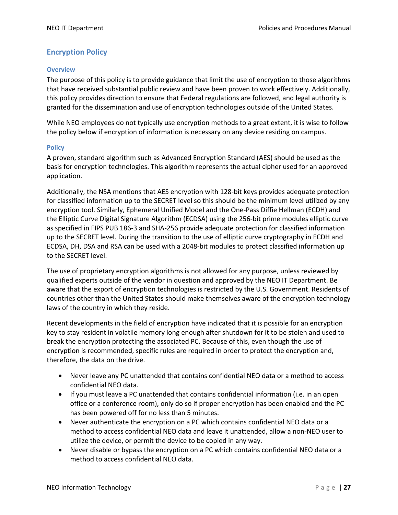## **Encryption Policy**

#### **Overview**

The purpose of this policy is to provide guidance that limit the use of encryption to those algorithms that have received substantial public review and have been proven to work effectively. Additionally, this policy provides direction to ensure that Federal regulations are followed, and legal authority is granted for the dissemination and use of encryption technologies outside of the United States.

While NEO employees do not typically use encryption methods to a great extent, it is wise to follow the policy below if encryption of information is necessary on any device residing on campus.

#### **Policy**

A proven, standard algorithm such as Advanced Encryption Standard (AES) should be used as the basis for encryption technologies. This algorithm represents the actual cipher used for an approved application.

Additionally, the NSA mentions that AES encryption with 128-bit keys provides adequate protection for classified information up to the SECRET level so this should be the minimum level utilized by any encryption tool. Similarly, Ephemeral Unified Model and the One-Pass Diffie Hellman (ECDH) and the Elliptic Curve Digital Signature Algorithm (ECDSA) using the 256-bit prime modules elliptic curve as specified in FIPS PUB 186-3 and SHA-256 provide adequate protection for classified information up to the SECRET level. During the transition to the use of elliptic curve cryptography in ECDH and ECDSA, DH, DSA and RSA can be used with a 2048-bit modules to protect classified information up to the SECRET level.

The use of proprietary encryption algorithms is not allowed for any purpose, unless reviewed by qualified experts outside of the vendor in question and approved by the NEO IT Department. Be aware that the export of encryption technologies is restricted by the U.S. Government. Residents of countries other than the United States should make themselves aware of the encryption technology laws of the country in which they reside.

Recent developments in the field of encryption have indicated that it is possible for an encryption key to stay resident in volatile memory long enough after shutdown for it to be stolen and used to break the encryption protecting the associated PC. Because of this, even though the use of encryption is recommended, specific rules are required in order to protect the encryption and, therefore, the data on the drive.

- Never leave any PC unattended that contains confidential NEO data or a method to access confidential NEO data.
- If you must leave a PC unattended that contains confidential information (i.e. in an open office or a conference room), only do so if proper encryption has been enabled and the PC has been powered off for no less than 5 minutes.
- Never authenticate the encryption on a PC which contains confidential NEO data or a method to access confidential NEO data and leave it unattended, allow a non-NEO user to utilize the device, or permit the device to be copied in any way.
- Never disable or bypass the encryption on a PC which contains confidential NEO data or a method to access confidential NEO data.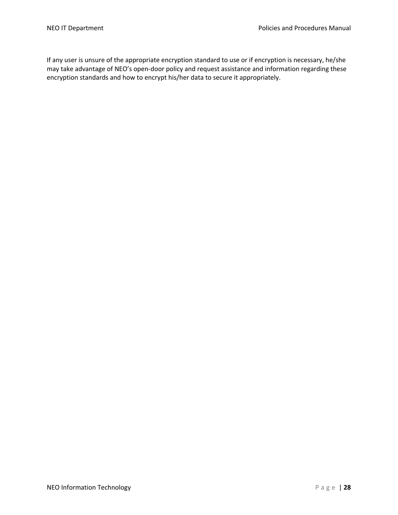If any user is unsure of the appropriate encryption standard to use or if encryption is necessary, he/she may take advantage of NEO's open-door policy and request assistance and information regarding these encryption standards and how to encrypt his/her data to secure it appropriately.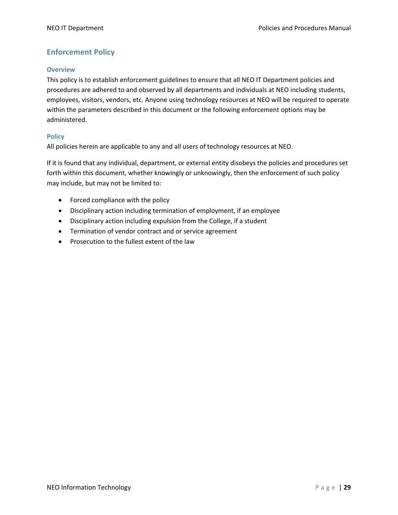## **Enforcement Policy**

#### **Overview**

This policy is to establish enforcement guidelines to ensure that all NEO IT Department policies and procedures are adhered to and observed by all departments and individuals at NEO including students, employees, visitors, vendors, etc. Anyone using technology resources at NEO will be required to operate within the parameters described in this document or the following enforcement options may be administered.

#### **Policy**

All policies herein are applicable to any and all users of technology resources at NEO.

If it is found that any individual, department, or external entity disobeys the policies and procedures set forth within this document, whether knowingly or unknowingly, then the enforcement of such policy may include, but may not be limited to:

- Forced compliance with the policy
- Disciplinary action including termination of employment, if an employee
- Disciplinary action including expulsion from the College, if a student
- Termination of vendor contract and or service agreement
- Prosecution to the fullest extent of the law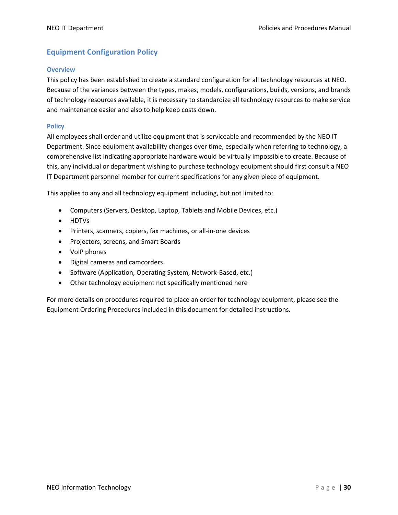## **Equipment Configuration Policy**

#### **Overview**

This policy has been established to create a standard configuration for all technology resources at NEO. Because of the variances between the types, makes, models, configurations, builds, versions, and brands of technology resources available, it is necessary to standardize all technology resources to make service and maintenance easier and also to help keep costs down.

#### **Policy**

All employees shall order and utilize equipment that is serviceable and recommended by the NEO IT Department. Since equipment availability changes over time, especially when referring to technology, a comprehensive list indicating appropriate hardware would be virtually impossible to create. Because of this, any individual or department wishing to purchase technology equipment should first consult a NEO IT Department personnel member for current specifications for any given piece of equipment.

This applies to any and all technology equipment including, but not limited to:

- Computers (Servers, Desktop, Laptop, Tablets and Mobile Devices, etc.)
- HDTVs
- Printers, scanners, copiers, fax machines, or all-in-one devices
- Projectors, screens, and Smart Boards
- VoIP phones
- Digital cameras and camcorders
- Software (Application, Operating System, Network-Based, etc.)
- Other technology equipment not specifically mentioned here

For more details on procedures required to place an order for technology equipment, please see the Equipment Ordering Procedures included in this document for detailed instructions.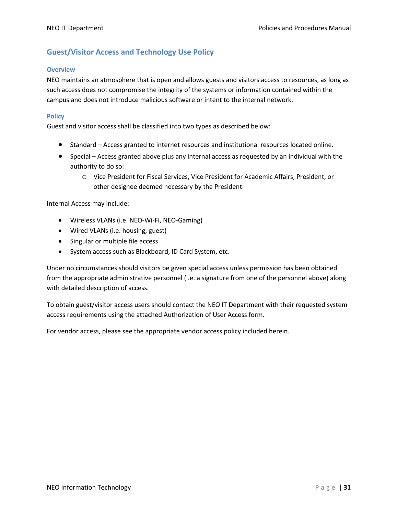## **Guest/Visitor Access and Technology Use Policy**

#### **Overview**

NEO maintains an atmosphere that is open and allows guests and visitors access to resources, as long as such access does not compromise the integrity of the systems or information contained within the campus and does not introduce malicious software or intent to the internal network.

#### **Policy**

Guest and visitor access shall be classified into two types as described below:

- Standard Access granted to internet resources and institutional resources located online.
- Special Access granted above plus any internal access as requested by an individual with the authority to do so:
	- o Vice President for Fiscal Services, Vice President for Academic Affairs, President, or other designee deemed necessary by the President

Internal Access may include:

- Wireless VLANs (i.e. NEO-Wi-Fi, NEO-Gaming)
- Wired VLANs (i.e. housing, guest)
- Singular or multiple file access
- System access such as Blackboard, ID Card System, etc.

Under no circumstances should visitors be given special access unless permission has been obtained from the appropriate administrative personnel (i.e. a signature from one of the personnel above) along with detailed description of access.

To obtain guest/visitor access users should contact the NEO IT Department with their requested system access requirements using the attached Authorization of User Access form.

For vendor access, please see the appropriate vendor access policy included herein.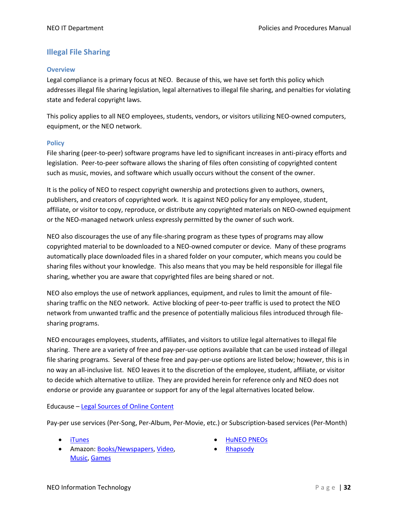## **Illegal File Sharing**

#### **Overview**

Legal compliance is a primary focus at NEO. Because of this, we have set forth this policy which addresses illegal file sharing legislation, legal alternatives to illegal file sharing, and penalties for violating state and federal copyright laws.

This policy applies to all NEO employees, students, vendors, or visitors utilizing NEO-owned computers, equipment, or the NEO network.

#### **Policy**

File sharing (peer-to-peer) software programs have led to significant increases in anti-piracy efforts and legislation. Peer-to-peer software allows the sharing of files often consisting of copyrighted content such as music, movies, and software which usually occurs without the consent of the owner.

It is the policy of NEO to respect copyright ownership and protections given to authors, owners, publishers, and creators of copyrighted work. It is against NEO policy for any employee, student, affiliate, or visitor to copy, reproduce, or distribute any copyrighted materials on NEO-owned equipment or the NEO-managed network unless expressly permitted by the owner of such work.

NEO also discourages the use of any file-sharing program as these types of programs may allow copyrighted material to be downloaded to a NEO-owned computer or device. Many of these programs automatically place downloaded files in a shared folder on your computer, which means you could be sharing files without your knowledge. This also means that you may be held responsible for illegal file sharing, whether you are aware that copyrighted files are being shared or not.

NEO also employs the use of network appliances, equipment, and rules to limit the amount of filesharing traffic on the NEO network. Active blocking of peer-to-peer traffic is used to protect the NEO network from unwanted traffic and the presence of potentially malicious files introduced through filesharing programs.

NEO encourages employees, students, affiliates, and visitors to utilize legal alternatives to illegal file sharing. There are a variety of free and pay-per-use options available that can be used instead of illegal file sharing programs. Several of these free and pay-per-use options are listed below; however, this is in no way an all-inclusive list. NEO leaves it to the discretion of the employee, student, affiliate, or visitor to decide which alternative to utilize. They are provided herein for reference only and NEO does not endorse or provide any guarantee or support for any of the legal alternatives located below.

#### Educause – Legal Sources of Online Content

Pay-per use services (Per-Song, Per-Album, Per-Movie, etc.) or Subscription-based services (Per-Month)

- 
- Amazon: Books/Newspapers, Video, Music, Games
- iTunes HuNEO PNEOs
	- Rhapsody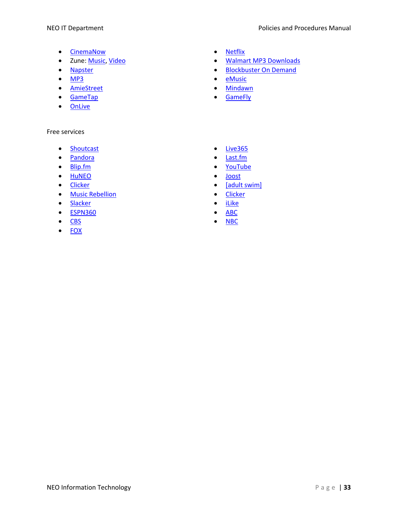- CinemaNow Netflix
- 
- 
- 
- AmieStreet Mindawn
- GameTap GameFly
- OnLive

#### Free services

- Shoutcast Live365
- Pandora Last.fm
- 
- HuNEO Joost
- 
- Music Rebellion Clicker
- Slacker iLike
- ESPN360 ABC
- CBS NBC
- FOX
- 
- Zune: Music, Video  **Malmart MP3 Downloads**
- Napster Blockbuster On Demand
- MP3 eMusic
	-
	-
	-
	-
- Blip.fm YouTube
	-
- Clicker Clicker Clicker Clicker Clicker Clicker Clicker Clicker Clicker Clicker Clicker Clicker Clicker Clicker Clicker Clicker Clicker Clicker Clicker Clicker Clicker Clicker
	-
	-
	-
	-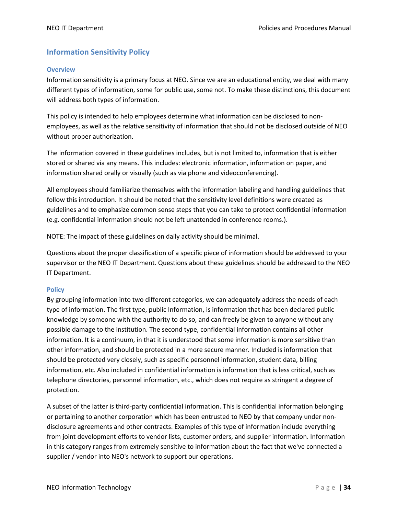## **Information Sensitivity Policy**

#### **Overview**

Information sensitivity is a primary focus at NEO. Since we are an educational entity, we deal with many different types of information, some for public use, some not. To make these distinctions, this document will address both types of information.

This policy is intended to help employees determine what information can be disclosed to nonemployees, as well as the relative sensitivity of information that should not be disclosed outside of NEO without proper authorization.

The information covered in these guidelines includes, but is not limited to, information that is either stored or shared via any means. This includes: electronic information, information on paper, and information shared orally or visually (such as via phone and videoconferencing).

All employees should familiarize themselves with the information labeling and handling guidelines that follow this introduction. It should be noted that the sensitivity level definitions were created as guidelines and to emphasize common sense steps that you can take to protect confidential information (e.g. confidential information should not be left unattended in conference rooms.).

NOTE: The impact of these guidelines on daily activity should be minimal.

Questions about the proper classification of a specific piece of information should be addressed to your supervisor or the NEO IT Department. Questions about these guidelines should be addressed to the NEO IT Department.

#### **Policy**

By grouping information into two different categories, we can adequately address the needs of each type of information. The first type, public Information, is information that has been declared public knowledge by someone with the authority to do so, and can freely be given to anyone without any possible damage to the institution. The second type, confidential information contains all other information. It is a continuum, in that it is understood that some information is more sensitive than other information, and should be protected in a more secure manner. Included is information that should be protected very closely, such as specific personnel information, student data, billing information, etc. Also included in confidential information is information that is less critical, such as telephone directories, personnel information, etc., which does not require as stringent a degree of protection.

A subset of the latter is third-party confidential information. This is confidential information belonging or pertaining to another corporation which has been entrusted to NEO by that company under nondisclosure agreements and other contracts. Examples of this type of information include everything from joint development efforts to vendor lists, customer orders, and supplier information. Information in this category ranges from extremely sensitive to information about the fact that we've connected a supplier / vendor into NEO's network to support our operations.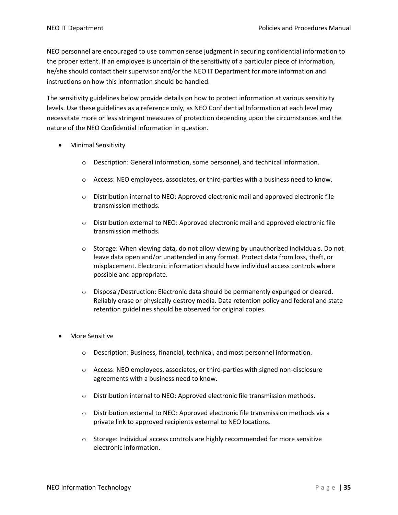NEO personnel are encouraged to use common sense judgment in securing confidential information to the proper extent. If an employee is uncertain of the sensitivity of a particular piece of information, he/she should contact their supervisor and/or the NEO IT Department for more information and instructions on how this information should be handled.

The sensitivity guidelines below provide details on how to protect information at various sensitivity levels. Use these guidelines as a reference only, as NEO Confidential Information at each level may necessitate more or less stringent measures of protection depending upon the circumstances and the nature of the NEO Confidential Information in question.

- Minimal Sensitivity
	- o Description: General information, some personnel, and technical information.
	- $\circ$  Access: NEO employees, associates, or third-parties with a business need to know.
	- o Distribution internal to NEO: Approved electronic mail and approved electronic file transmission methods.
	- $\circ$  Distribution external to NEO: Approved electronic mail and approved electronic file transmission methods.
	- $\circ$  Storage: When viewing data, do not allow viewing by unauthorized individuals. Do not leave data open and/or unattended in any format. Protect data from loss, theft, or misplacement. Electronic information should have individual access controls where possible and appropriate.
	- $\circ$  Disposal/Destruction: Electronic data should be permanently expunged or cleared. Reliably erase or physically destroy media. Data retention policy and federal and state retention guidelines should be observed for original copies.
- More Sensitive
	- o Description: Business, financial, technical, and most personnel information.
	- o Access: NEO employees, associates, or third-parties with signed non-disclosure agreements with a business need to know.
	- o Distribution internal to NEO: Approved electronic file transmission methods.
	- o Distribution external to NEO: Approved electronic file transmission methods via a private link to approved recipients external to NEO locations.
	- o Storage: Individual access controls are highly recommended for more sensitive electronic information.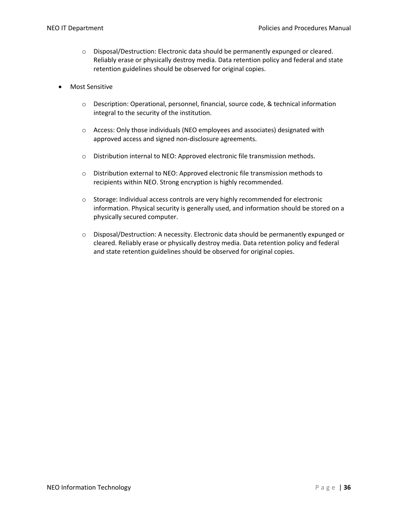- $\circ$  Disposal/Destruction: Electronic data should be permanently expunged or cleared. Reliably erase or physically destroy media. Data retention policy and federal and state retention guidelines should be observed for original copies.
- Most Sensitive
	- o Description: Operational, personnel, financial, source code, & technical information integral to the security of the institution.
	- o Access: Only those individuals (NEO employees and associates) designated with approved access and signed non-disclosure agreements.
	- o Distribution internal to NEO: Approved electronic file transmission methods.
	- $\circ$  Distribution external to NEO: Approved electronic file transmission methods to recipients within NEO. Strong encryption is highly recommended.
	- o Storage: Individual access controls are very highly recommended for electronic information. Physical security is generally used, and information should be stored on a physically secured computer.
	- o Disposal/Destruction: A necessity. Electronic data should be permanently expunged or cleared. Reliably erase or physically destroy media. Data retention policy and federal and state retention guidelines should be observed for original copies.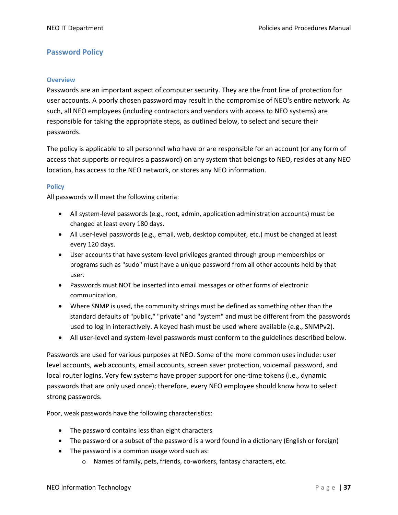## **Password Policy**

#### **Overview**

Passwords are an important aspect of computer security. They are the front line of protection for user accounts. A poorly chosen password may result in the compromise of NEO's entire network. As such, all NEO employees (including contractors and vendors with access to NEO systems) are responsible for taking the appropriate steps, as outlined below, to select and secure their passwords.

The policy is applicable to all personnel who have or are responsible for an account (or any form of access that supports or requires a password) on any system that belongs to NEO, resides at any NEO location, has access to the NEO network, or stores any NEO information.

#### **Policy**

All passwords will meet the following criteria:

- All system-level passwords (e.g., root, admin, application administration accounts) must be changed at least every 180 days.
- All user-level passwords (e.g., email, web, desktop computer, etc.) must be changed at least every 120 days.
- User accounts that have system-level privileges granted through group memberships or programs such as "sudo" must have a unique password from all other accounts held by that user.
- Passwords must NOT be inserted into email messages or other forms of electronic communication.
- Where SNMP is used, the community strings must be defined as something other than the standard defaults of "public," "private" and "system" and must be different from the passwords used to log in interactively. A keyed hash must be used where available (e.g., SNMPv2).
- All user-level and system-level passwords must conform to the guidelines described below.

Passwords are used for various purposes at NEO. Some of the more common uses include: user level accounts, web accounts, email accounts, screen saver protection, voicemail password, and local router logins. Very few systems have proper support for one-time tokens (i.e., dynamic passwords that are only used once); therefore, every NEO employee should know how to select strong passwords.

Poor, weak passwords have the following characteristics:

- The password contains less than eight characters
- The password or a subset of the password is a word found in a dictionary (English or foreign)
- The password is a common usage word such as:
	- o Names of family, pets, friends, co-workers, fantasy characters, etc.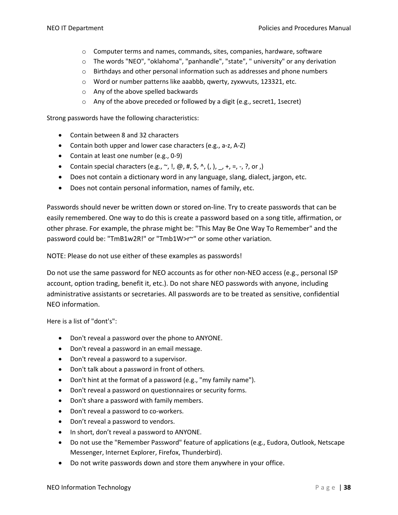- $\circ$  Computer terms and names, commands, sites, companies, hardware, software
- o The words "NEO", "oklahoma", "panhandle", "state", " university" or any derivation
- $\circ$  Birthdays and other personal information such as addresses and phone numbers
- o Word or number patterns like aaabbb, qwerty, zyxwvuts, 123321, etc.
- o Any of the above spelled backwards
- o Any of the above preceded or followed by a digit (e.g., secret1, 1secret)

Strong passwords have the following characteristics:

- Contain between 8 and 32 characters
- Contain both upper and lower case characters (e.g., a-z, A-Z)
- Contain at least one number (e.g., 0-9)
- Contain special characters (e.g.,  $\sim$ , !,  $\omega$ , #, \$,  $\wedge$ , (, ),  $\rightarrow$  +, =, -, ?, or ,)
- Does not contain a dictionary word in any language, slang, dialect, jargon, etc.
- Does not contain personal information, names of family, etc.

Passwords should never be written down or stored on-line. Try to create passwords that can be easily remembered. One way to do this is create a password based on a song title, affirmation, or other phrase. For example, the phrase might be: "This May Be One Way To Remember" and the password could be: "TmB1w2R!" or "Tmb1W>r~" or some other variation.

NOTE: Please do not use either of these examples as passwords!

Do not use the same password for NEO accounts as for other non-NEO access (e.g., personal ISP account, option trading, benefit it, etc.). Do not share NEO passwords with anyone, including administrative assistants or secretaries. All passwords are to be treated as sensitive, confidential NEO information.

Here is a list of "dont's":

- Don't reveal a password over the phone to ANYONE.
- Don't reveal a password in an email message.
- Don't reveal a password to a supervisor.
- Don't talk about a password in front of others.
- Don't hint at the format of a password (e.g., "my family name").
- Don't reveal a password on questionnaires or security forms.
- Don't share a password with family members.
- Don't reveal a password to co-workers.
- Don't reveal a password to vendors.
- In short, don't reveal a password to ANYONE.
- Do not use the "Remember Password" feature of applications (e.g., Eudora, Outlook, Netscape Messenger, Internet Explorer, Firefox, Thunderbird).
- Do not write passwords down and store them anywhere in your office.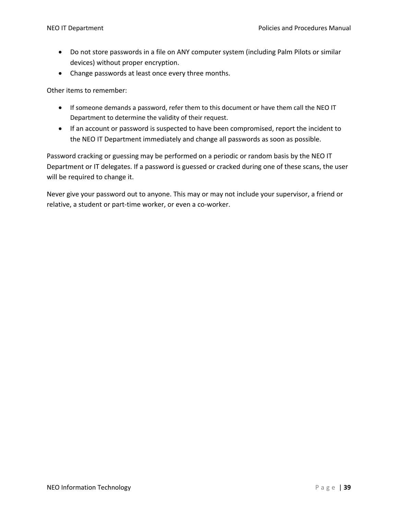- Do not store passwords in a file on ANY computer system (including Palm Pilots or similar devices) without proper encryption.
- Change passwords at least once every three months.

Other items to remember:

- If someone demands a password, refer them to this document or have them call the NEO IT Department to determine the validity of their request.
- If an account or password is suspected to have been compromised, report the incident to the NEO IT Department immediately and change all passwords as soon as possible.

Password cracking or guessing may be performed on a periodic or random basis by the NEO IT Department or IT delegates. If a password is guessed or cracked during one of these scans, the user will be required to change it.

Never give your password out to anyone. This may or may not include your supervisor, a friend or relative, a student or part-time worker, or even a co-worker.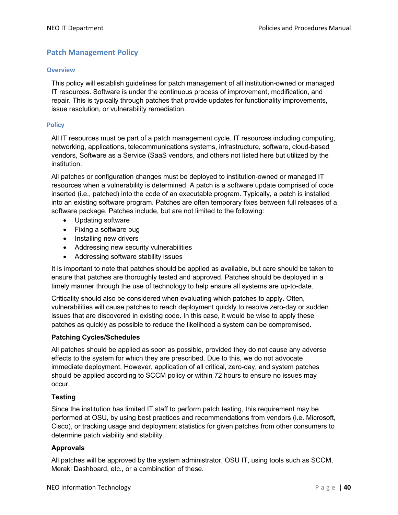# **Patch Management Policy**

#### **Overview**

This policy will establish guidelines for patch management of all institution-owned or managed IT resources. Software is under the continuous process of improvement, modification, and repair. This is typically through patches that provide updates for functionality improvements, issue resolution, or vulnerability remediation.

#### **Policy**

All IT resources must be part of a patch management cycle. IT resources including computing, networking, applications, telecommunications systems, infrastructure, software, cloud-based vendors, Software as a Service (SaaS vendors, and others not listed here but utilized by the institution.

All patches or configuration changes must be deployed to institution-owned or managed IT resources when a vulnerability is determined. A patch is a software update comprised of code inserted (i.e., patched) into the code of an executable program. Typically, a patch is installed into an existing software program. Patches are often temporary fixes between full releases of a software package. Patches include, but are not limited to the following:

- Updating software
- Fixing a software bug
- Installing new drivers
- Addressing new security vulnerabilities
- Addressing software stability issues

It is important to note that patches should be applied as available, but care should be taken to ensure that patches are thoroughly tested and approved. Patches should be deployed in a timely manner through the use of technology to help ensure all systems are up-to-date.

Criticality should also be considered when evaluating which patches to apply. Often, vulnerabilities will cause patches to reach deployment quickly to resolve zero-day or sudden issues that are discovered in existing code. In this case, it would be wise to apply these patches as quickly as possible to reduce the likelihood a system can be compromised.

#### **Patching Cycles/Schedules**

All patches should be applied as soon as possible, provided they do not cause any adverse effects to the system for which they are prescribed. Due to this, we do not advocate immediate deployment. However, application of all critical, zero-day, and system patches should be applied according to SCCM policy or within 72 hours to ensure no issues may occur.

#### **Testing**

Since the institution has limited IT staff to perform patch testing, this requirement may be performed at OSU, by using best practices and recommendations from vendors (i.e. Microsoft, Cisco), or tracking usage and deployment statistics for given patches from other consumers to determine patch viability and stability.

#### **Approvals**

All patches will be approved by the system administrator, OSU IT, using tools such as SCCM, Meraki Dashboard, etc., or a combination of these.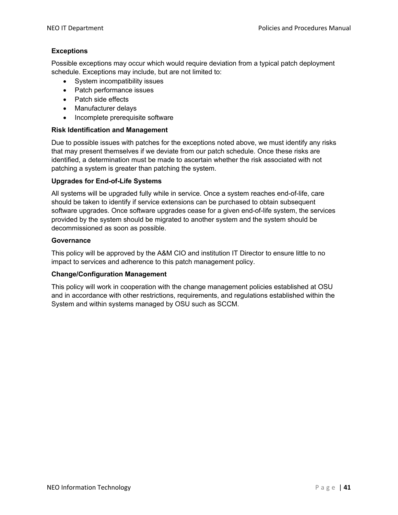#### **Exceptions**

Possible exceptions may occur which would require deviation from a typical patch deployment schedule. Exceptions may include, but are not limited to:

- System incompatibility issues
- Patch performance issues
- Patch side effects
- Manufacturer delays
- Incomplete prerequisite software

#### **Risk Identification and Management**

Due to possible issues with patches for the exceptions noted above, we must identify any risks that may present themselves if we deviate from our patch schedule. Once these risks are identified, a determination must be made to ascertain whether the risk associated with not patching a system is greater than patching the system.

#### **Upgrades for End-of-Life Systems**

All systems will be upgraded fully while in service. Once a system reaches end-of-life, care should be taken to identify if service extensions can be purchased to obtain subsequent software upgrades. Once software upgrades cease for a given end-of-life system, the services provided by the system should be migrated to another system and the system should be decommissioned as soon as possible.

#### **Governance**

This policy will be approved by the A&M CIO and institution IT Director to ensure little to no impact to services and adherence to this patch management policy.

#### **Change/Configuration Management**

This policy will work in cooperation with the change management policies established at OSU and in accordance with other restrictions, requirements, and regulations established within the System and within systems managed by OSU such as SCCM.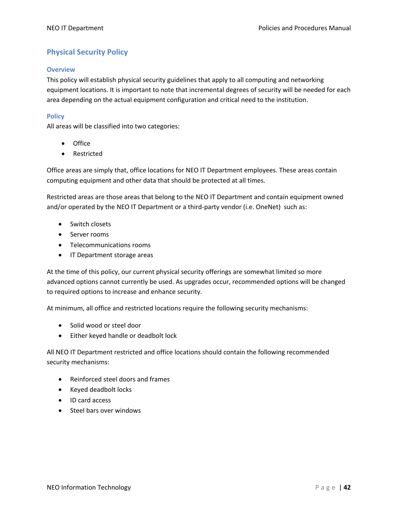# **Physical Security Policy**

#### **Overview**

This policy will establish physical security guidelines that apply to all computing and networking equipment locations. It is important to note that incremental degrees of security will be needed for each area depending on the actual equipment configuration and critical need to the institution.

#### **Policy**

All areas will be classified into two categories:

- Office
- Restricted

Office areas are simply that, office locations for NEO IT Department employees. These areas contain computing equipment and other data that should be protected at all times.

Restricted areas are those areas that belong to the NEO IT Department and contain equipment owned and/or operated by the NEO IT Department or a third-party vendor (i.e. OneNet) such as:

- Switch closets
- Server rooms
- Telecommunications rooms
- IT Department storage areas

At the time of this policy, our current physical security offerings are somewhat limited so more advanced options cannot currently be used. As upgrades occur, recommended options will be changed to required options to increase and enhance security.

At minimum, all office and restricted locations require the following security mechanisms:

- Solid wood or steel door
- Either keyed handle or deadbolt lock

All NEO IT Department restricted and office locations should contain the following recommended security mechanisms:

- Reinforced steel doors and frames
- Keyed deadbolt locks
- ID card access
- Steel bars over windows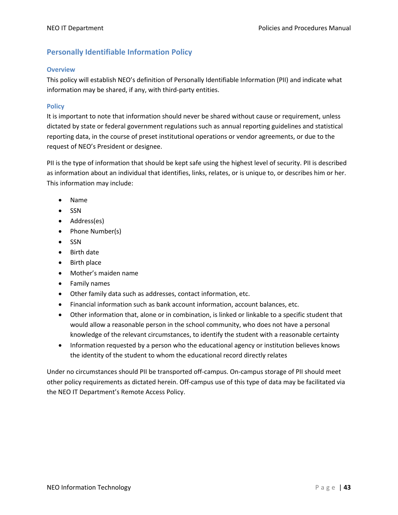# **Personally Identifiable Information Policy**

#### **Overview**

This policy will establish NEO's definition of Personally Identifiable Information (PII) and indicate what information may be shared, if any, with third-party entities.

#### **Policy**

It is important to note that information should never be shared without cause or requirement, unless dictated by state or federal government regulations such as annual reporting guidelines and statistical reporting data, in the course of preset institutional operations or vendor agreements, or due to the request of NEO's President or designee.

PII is the type of information that should be kept safe using the highest level of security. PII is described as information about an individual that identifies, links, relates, or is unique to, or describes him or her. This information may include:

- Name
- SSN
- Address(es)
- Phone Number(s)
- SSN
- Birth date
- Birth place
- Mother's maiden name
- Family names
- Other family data such as addresses, contact information, etc.
- Financial information such as bank account information, account balances, etc.
- Other information that, alone or in combination, is linked or linkable to a specific student that would allow a reasonable person in the school community, who does not have a personal knowledge of the relevant circumstances, to identify the student with a reasonable certainty
- Information requested by a person who the educational agency or institution believes knows the identity of the student to whom the educational record directly relates

Under no circumstances should PII be transported off-campus. On-campus storage of PII should meet other policy requirements as dictated herein. Off-campus use of this type of data may be facilitated via the NEO IT Department's Remote Access Policy.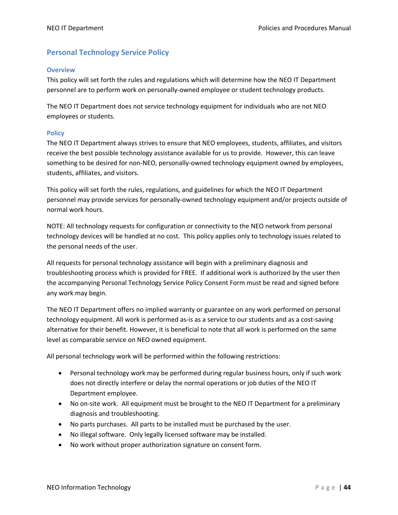## **Personal Technology Service Policy**

#### **Overview**

This policy will set forth the rules and regulations which will determine how the NEO IT Department personnel are to perform work on personally-owned employee or student technology products.

The NEO IT Department does not service technology equipment for individuals who are not NEO employees or students.

#### **Policy**

The NEO IT Department always strives to ensure that NEO employees, students, affiliates, and visitors receive the best possible technology assistance available for us to provide. However, this can leave something to be desired for non-NEO, personally-owned technology equipment owned by employees, students, affiliates, and visitors.

This policy will set forth the rules, regulations, and guidelines for which the NEO IT Department personnel may provide services for personally-owned technology equipment and/or projects outside of normal work hours.

NOTE: All technology requests for configuration or connectivity to the NEO network from personal technology devices will be handled at no cost. This policy applies only to technology issues related to the personal needs of the user.

All requests for personal technology assistance will begin with a preliminary diagnosis and troubleshooting process which is provided for FREE. If additional work is authorized by the user then the accompanying Personal Technology Service Policy Consent Form must be read and signed before any work may begin.

The NEO IT Department offers no implied warranty or guarantee on any work performed on personal technology equipment. All work is performed as-is as a service to our students and as a cost-saving alternative for their benefit. However, it is beneficial to note that all work is performed on the same level as comparable service on NEO owned equipment.

All personal technology work will be performed within the following restrictions:

- Personal technology work may be performed during regular business hours, only if such work does not directly interfere or delay the normal operations or job duties of the NEO IT Department employee.
- No on-site work. All equipment must be brought to the NEO IT Department for a preliminary diagnosis and troubleshooting.
- No parts purchases. All parts to be installed must be purchased by the user.
- No illegal software. Only legally licensed software may be installed.
- No work without proper authorization signature on consent form.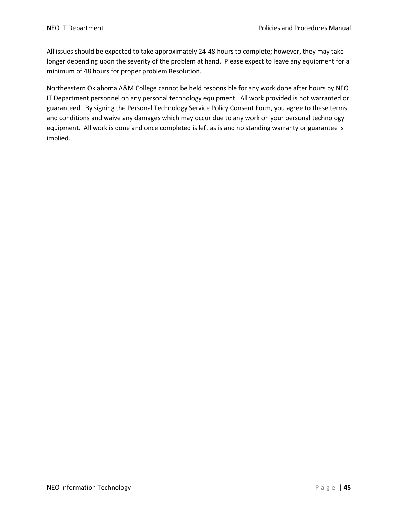All issues should be expected to take approximately 24-48 hours to complete; however, they may take longer depending upon the severity of the problem at hand. Please expect to leave any equipment for a minimum of 48 hours for proper problem Resolution.

Northeastern Oklahoma A&M College cannot be held responsible for any work done after hours by NEO IT Department personnel on any personal technology equipment. All work provided is not warranted or guaranteed. By signing the Personal Technology Service Policy Consent Form, you agree to these terms and conditions and waive any damages which may occur due to any work on your personal technology equipment. All work is done and once completed is left as is and no standing warranty or guarantee is implied.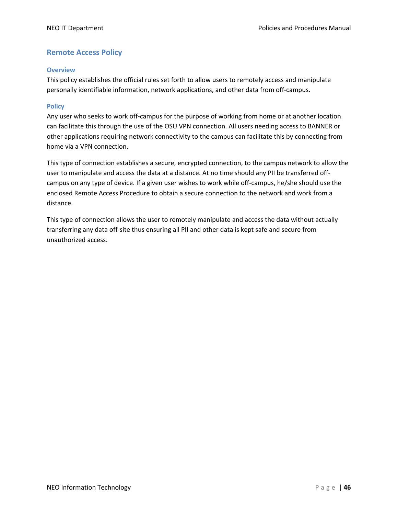## **Remote Access Policy**

#### **Overview**

This policy establishes the official rules set forth to allow users to remotely access and manipulate personally identifiable information, network applications, and other data from off-campus.

#### **Policy**

Any user who seeks to work off-campus for the purpose of working from home or at another location can facilitate this through the use of the OSU VPN connection. All users needing access to BANNER or other applications requiring network connectivity to the campus can facilitate this by connecting from home via a VPN connection.

This type of connection establishes a secure, encrypted connection, to the campus network to allow the user to manipulate and access the data at a distance. At no time should any PII be transferred offcampus on any type of device. If a given user wishes to work while off-campus, he/she should use the enclosed Remote Access Procedure to obtain a secure connection to the network and work from a distance.

This type of connection allows the user to remotely manipulate and access the data without actually transferring any data off-site thus ensuring all PII and other data is kept safe and secure from unauthorized access.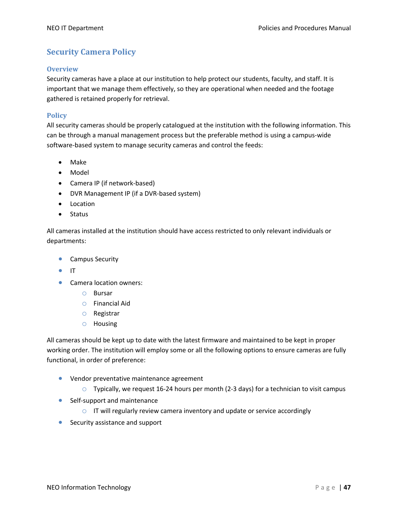# **Security Camera Policy**

#### **Overview**

Security cameras have a place at our institution to help protect our students, faculty, and staff. It is important that we manage them effectively, so they are operational when needed and the footage gathered is retained properly for retrieval.

#### **Policy**

All security cameras should be properly catalogued at the institution with the following information. This can be through a manual management process but the preferable method is using a campus-wide software-based system to manage security cameras and control the feeds:

- Make
- Model
- Camera IP (if network-based)
- DVR Management IP (if a DVR-based system)
- Location
- Status

All cameras installed at the institution should have access restricted to only relevant individuals or departments:

- Campus Security
- IT
- Camera location owners:
	- o Bursar
	- o Financial Aid
	- o Registrar
	- o Housing

All cameras should be kept up to date with the latest firmware and maintained to be kept in proper working order. The institution will employ some or all the following options to ensure cameras are fully functional, in order of preference:

- Vendor preventative maintenance agreement
	- $\circ$  Typically, we request 16-24 hours per month (2-3 days) for a technician to visit campus
- Self-support and maintenance
	- $\circ$  IT will regularly review camera inventory and update or service accordingly
- Security assistance and support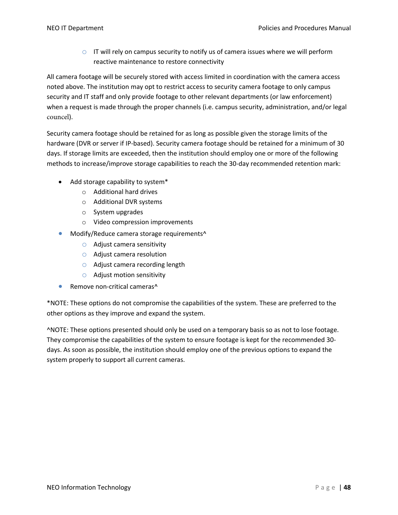$\circ$  IT will rely on campus security to notify us of camera issues where we will perform reactive maintenance to restore connectivity

All camera footage will be securely stored with access limited in coordination with the camera access noted above. The institution may opt to restrict access to security camera footage to only campus security and IT staff and only provide footage to other relevant departments (or law enforcement) when a request is made through the proper channels (i.e. campus security, administration, and/or legal councel).

Security camera footage should be retained for as long as possible given the storage limits of the hardware (DVR or server if IP-based). Security camera footage should be retained for a minimum of 30 days. If storage limits are exceeded, then the institution should employ one or more of the following methods to increase/improve storage capabilities to reach the 30-day recommended retention mark:

- Add storage capability to system\*
	- o Additional hard drives
	- o Additional DVR systems
	- o System upgrades
	- o Video compression improvements
- Modify/Reduce camera storage requirements^
	- $\circ$  Adjust camera sensitivity
	- o Adjust camera resolution
	- o Adjust camera recording length
	- o Adjust motion sensitivity
- Remove non-critical cameras^

\*NOTE: These options do not compromise the capabilities of the system. These are preferred to the other options as they improve and expand the system.

^NOTE: These options presented should only be used on a temporary basis so as not to lose footage. They compromise the capabilities of the system to ensure footage is kept for the recommended 30 days. As soon as possible, the institution should employ one of the previous options to expand the system properly to support all current cameras.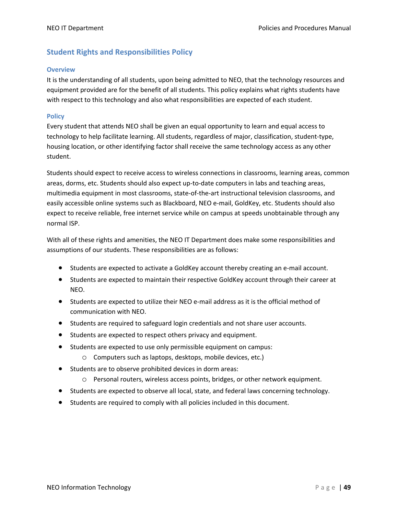# **Student Rights and Responsibilities Policy**

#### **Overview**

It is the understanding of all students, upon being admitted to NEO, that the technology resources and equipment provided are for the benefit of all students. This policy explains what rights students have with respect to this technology and also what responsibilities are expected of each student.

#### **Policy**

Every student that attends NEO shall be given an equal opportunity to learn and equal access to technology to help facilitate learning. All students, regardless of major, classification, student-type, housing location, or other identifying factor shall receive the same technology access as any other student.

Students should expect to receive access to wireless connections in classrooms, learning areas, common areas, dorms, etc. Students should also expect up-to-date computers in labs and teaching areas, multimedia equipment in most classrooms, state-of-the-art instructional television classrooms, and easily accessible online systems such as Blackboard, NEO e-mail, GoldKey, etc. Students should also expect to receive reliable, free internet service while on campus at speeds unobtainable through any normal ISP.

With all of these rights and amenities, the NEO IT Department does make some responsibilities and assumptions of our students. These responsibilities are as follows:

- Students are expected to activate a GoldKey account thereby creating an e-mail account.
- Students are expected to maintain their respective GoldKey account through their career at NEO.
- Students are expected to utilize their NEO e-mail address as it is the official method of communication with NEO.
- Students are required to safeguard login credentials and not share user accounts.
- Students are expected to respect others privacy and equipment.
- Students are expected to use only permissible equipment on campus:
	- o Computers such as laptops, desktops, mobile devices, etc.)
- Students are to observe prohibited devices in dorm areas:
	- o Personal routers, wireless access points, bridges, or other network equipment.
- Students are expected to observe all local, state, and federal laws concerning technology.
- Students are required to comply with all policies included in this document.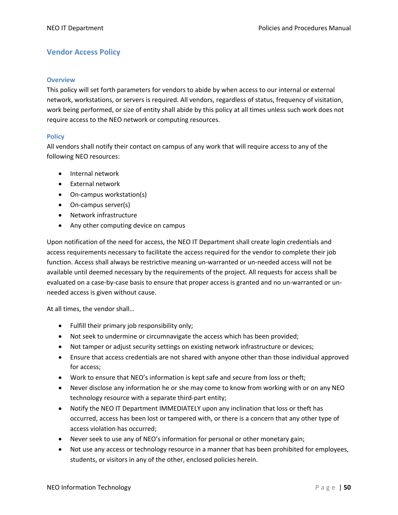# **Vendor Access Policy**

#### **Overview**

This policy will set forth parameters for vendors to abide by when access to our internal or external network, workstations, or servers is required. All vendors, regardless of status, frequency of visitation, work being performed, or size of entity shall abide by this policy at all times unless such work does not require access to the NEO network or computing resources.

#### **Policy**

All vendors shall notify their contact on campus of any work that will require access to any of the following NEO resources:

- Internal network
- External network
- On-campus workstation(s)
- On-campus server(s)
- Network infrastructure
- Any other computing device on campus

Upon notification of the need for access, the NEO IT Department shall create login credentials and access requirements necessary to facilitate the access required for the vendor to complete their job function. Access shall always be restrictive meaning un-warranted or un-needed access will not be available until deemed necessary by the requirements of the project. All requests for access shall be evaluated on a case-by-case basis to ensure that proper access is granted and no un-warranted or unneeded access is given without cause.

At all times, the vendor shall…

- Fulfill their primary job responsibility only;
- Not seek to undermine or circumnavigate the access which has been provided;
- Not tamper or adjust security settings on existing network infrastructure or devices;
- Ensure that access credentials are not shared with anyone other than those individual approved for access;
- Work to ensure that NEO's information is kept safe and secure from loss or theft;
- Never disclose any information he or she may come to know from working with or on any NEO technology resource with a separate third-part entity;
- Notify the NEO IT Department IMMEDIATELY upon any inclination that loss or theft has occurred, access has been lost or tampered with, or there is a concern that any other type of access violation has occurred;
- Never seek to use any of NEO's information for personal or other monetary gain;
- Not use any access or technology resource in a manner that has been prohibited for employees, students, or visitors in any of the other, enclosed policies herein.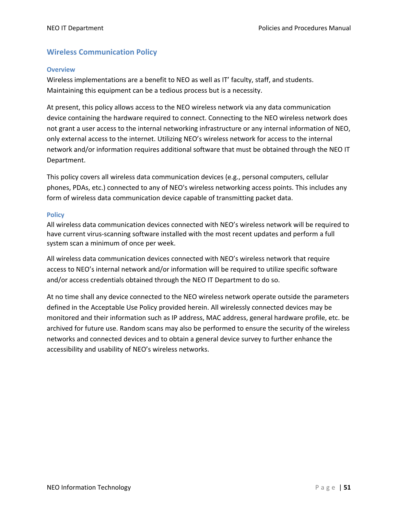# **Wireless Communication Policy**

#### **Overview**

Wireless implementations are a benefit to NEO as well as IT' faculty, staff, and students. Maintaining this equipment can be a tedious process but is a necessity.

At present, this policy allows access to the NEO wireless network via any data communication device containing the hardware required to connect. Connecting to the NEO wireless network does not grant a user access to the internal networking infrastructure or any internal information of NEO, only external access to the internet. Utilizing NEO's wireless network for access to the internal network and/or information requires additional software that must be obtained through the NEO IT Department.

This policy covers all wireless data communication devices (e.g., personal computers, cellular phones, PDAs, etc.) connected to any of NEO's wireless networking access points. This includes any form of wireless data communication device capable of transmitting packet data.

#### **Policy**

All wireless data communication devices connected with NEO's wireless network will be required to have current virus-scanning software installed with the most recent updates and perform a full system scan a minimum of once per week.

All wireless data communication devices connected with NEO's wireless network that require access to NEO's internal network and/or information will be required to utilize specific software and/or access credentials obtained through the NEO IT Department to do so.

At no time shall any device connected to the NEO wireless network operate outside the parameters defined in the Acceptable Use Policy provided herein. All wirelessly connected devices may be monitored and their information such as IP address, MAC address, general hardware profile, etc. be archived for future use. Random scans may also be performed to ensure the security of the wireless networks and connected devices and to obtain a general device survey to further enhance the accessibility and usability of NEO's wireless networks.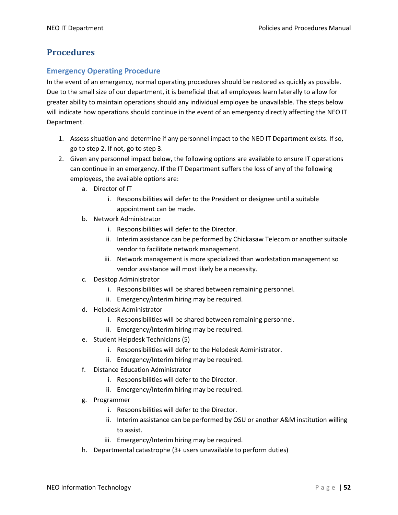# **Procedures**

## **Emergency Operating Procedure**

In the event of an emergency, normal operating procedures should be restored as quickly as possible. Due to the small size of our department, it is beneficial that all employees learn laterally to allow for greater ability to maintain operations should any individual employee be unavailable. The steps below will indicate how operations should continue in the event of an emergency directly affecting the NEO IT Department.

- 1. Assess situation and determine if any personnel impact to the NEO IT Department exists. If so, go to step 2. If not, go to step 3.
- 2. Given any personnel impact below, the following options are available to ensure IT operations can continue in an emergency. If the IT Department suffers the loss of any of the following employees, the available options are:
	- a. Director of IT
		- i. Responsibilities will defer to the President or designee until a suitable appointment can be made.
	- b. Network Administrator
		- i. Responsibilities will defer to the Director.
		- ii. Interim assistance can be performed by Chickasaw Telecom or another suitable vendor to facilitate network management.
		- iii. Network management is more specialized than workstation management so vendor assistance will most likely be a necessity.
	- c. Desktop Administrator
		- i. Responsibilities will be shared between remaining personnel.
		- ii. Emergency/Interim hiring may be required.
	- d. Helpdesk Administrator
		- i. Responsibilities will be shared between remaining personnel.
		- ii. Emergency/Interim hiring may be required.
	- e. Student Helpdesk Technicians (5)
		- i. Responsibilities will defer to the Helpdesk Administrator.
		- ii. Emergency/Interim hiring may be required.
	- f. Distance Education Administrator
		- i. Responsibilities will defer to the Director.
		- ii. Emergency/Interim hiring may be required.
	- g. Programmer
		- i. Responsibilities will defer to the Director.
		- ii. Interim assistance can be performed by OSU or another A&M institution willing to assist.
		- iii. Emergency/Interim hiring may be required.
	- h. Departmental catastrophe (3+ users unavailable to perform duties)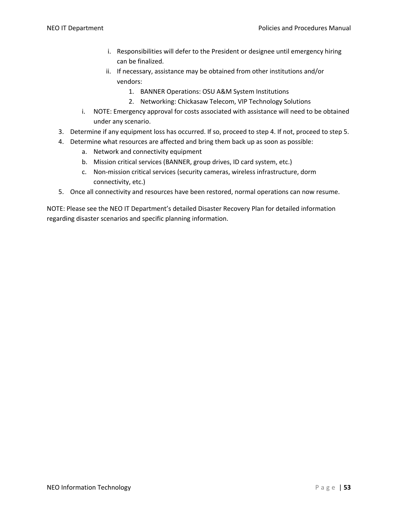- i. Responsibilities will defer to the President or designee until emergency hiring can be finalized.
- ii. If necessary, assistance may be obtained from other institutions and/or vendors:
	- 1. BANNER Operations: OSU A&M System Institutions
	- 2. Networking: Chickasaw Telecom, VIP Technology Solutions
- i. NOTE: Emergency approval for costs associated with assistance will need to be obtained under any scenario.
- 3. Determine if any equipment loss has occurred. If so, proceed to step 4. If not, proceed to step 5.
- 4. Determine what resources are affected and bring them back up as soon as possible:
	- a. Network and connectivity equipment
	- b. Mission critical services (BANNER, group drives, ID card system, etc.)
	- c. Non-mission critical services (security cameras, wireless infrastructure, dorm connectivity, etc.)
- 5. Once all connectivity and resources have been restored, normal operations can now resume.

NOTE: Please see the NEO IT Department's detailed Disaster Recovery Plan for detailed information regarding disaster scenarios and specific planning information.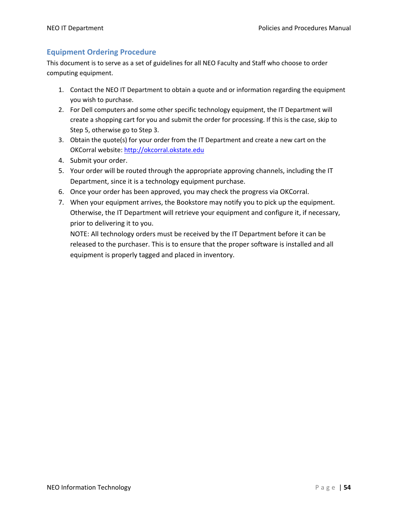# **Equipment Ordering Procedure**

This document is to serve as a set of guidelines for all NEO Faculty and Staff who choose to order computing equipment.

- 1. Contact the NEO IT Department to obtain a quote and or information regarding the equipment you wish to purchase.
- 2. For Dell computers and some other specific technology equipment, the IT Department will create a shopping cart for you and submit the order for processing. If this is the case, skip to Step 5, otherwise go to Step 3.
- 3. Obtain the quote(s) for your order from the IT Department and create a new cart on the OKCorral website: http://okcorral.okstate.edu
- 4. Submit your order.
- 5. Your order will be routed through the appropriate approving channels, including the IT Department, since it is a technology equipment purchase.
- 6. Once your order has been approved, you may check the progress via OKCorral.
- 7. When your equipment arrives, the Bookstore may notify you to pick up the equipment. Otherwise, the IT Department will retrieve your equipment and configure it, if necessary, prior to delivering it to you.

NOTE: All technology orders must be received by the IT Department before it can be released to the purchaser. This is to ensure that the proper software is installed and all equipment is properly tagged and placed in inventory.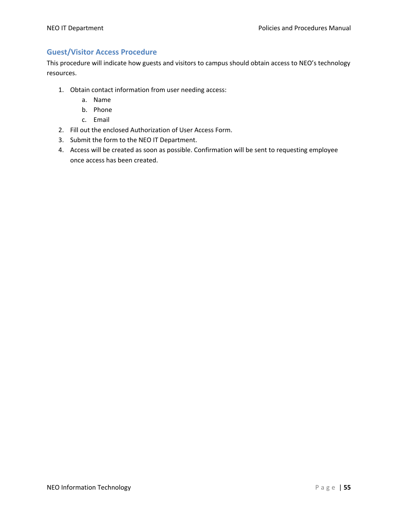# **Guest/Visitor Access Procedure**

This procedure will indicate how guests and visitors to campus should obtain access to NEO's technology resources.

- 1. Obtain contact information from user needing access:
	- a. Name
	- b. Phone
	- c. Email
- 2. Fill out the enclosed Authorization of User Access Form.
- 3. Submit the form to the NEO IT Department.
- 4. Access will be created as soon as possible. Confirmation will be sent to requesting employee once access has been created.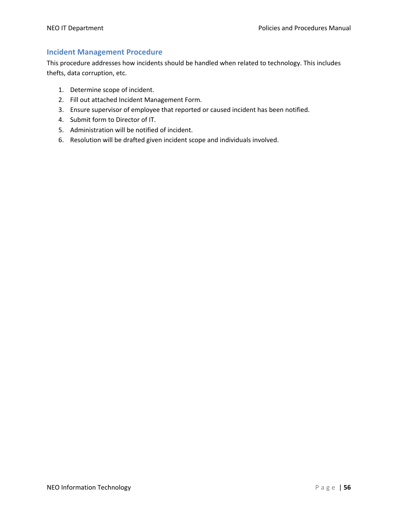# **Incident Management Procedure**

This procedure addresses how incidents should be handled when related to technology. This includes thefts, data corruption, etc.

- 1. Determine scope of incident.
- 2. Fill out attached Incident Management Form.
- 3. Ensure supervisor of employee that reported or caused incident has been notified.
- 4. Submit form to Director of IT.
- 5. Administration will be notified of incident.
- 6. Resolution will be drafted given incident scope and individuals involved.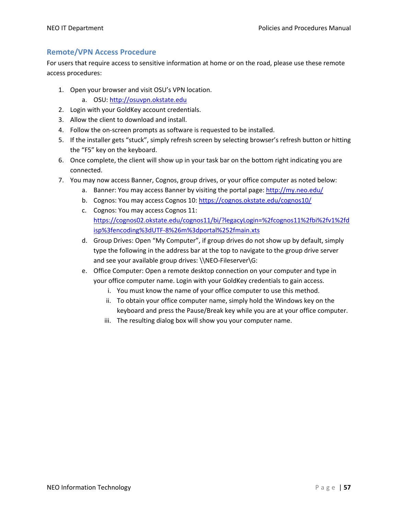## **Remote/VPN Access Procedure**

For users that require access to sensitive information at home or on the road, please use these remote access procedures:

- 1. Open your browser and visit OSU's VPN location.
	- a. OSU: http://osuvpn.okstate.edu
- 2. Login with your GoldKey account credentials.
- 3. Allow the client to download and install.
- 4. Follow the on-screen prompts as software is requested to be installed.
- 5. If the installer gets "stuck", simply refresh screen by selecting browser's refresh button or hitting the "F5" key on the keyboard.
- 6. Once complete, the client will show up in your task bar on the bottom right indicating you are connected.
- 7. You may now access Banner, Cognos, group drives, or your office computer as noted below:
	- a. Banner: You may access Banner by visiting the portal page: http://my.neo.edu/
	- b. Cognos: You may access Cognos 10: https://cognos.okstate.edu/cognos10/
	- c. Cognos: You may access Cognos 11: https://cognos02.okstate.edu/cognos11/bi/?legacyLogin=%2fcognos11%2fbi%2fv1%2fd isp%3fencoding%3dUTF-8%26m%3dportal%252fmain.xts
	- d. Group Drives: Open "My Computer", if group drives do not show up by default, simply type the following in the address bar at the top to navigate to the group drive server and see your available group drives: \\NEO-Fileserver\G:
	- e. Office Computer: Open a remote desktop connection on your computer and type in your office computer name. Login with your GoldKey credentials to gain access.
		- i. You must know the name of your office computer to use this method.
		- ii. To obtain your office computer name, simply hold the Windows key on the keyboard and press the Pause/Break key while you are at your office computer.
		- iii. The resulting dialog box will show you your computer name.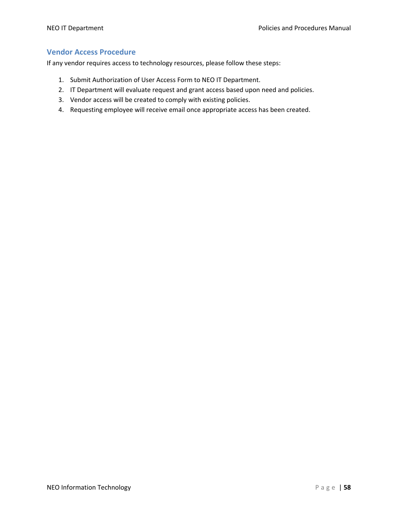## **Vendor Access Procedure**

If any vendor requires access to technology resources, please follow these steps:

- 1. Submit Authorization of User Access Form to NEO IT Department.
- 2. IT Department will evaluate request and grant access based upon need and policies.
- 3. Vendor access will be created to comply with existing policies.
- 4. Requesting employee will receive email once appropriate access has been created.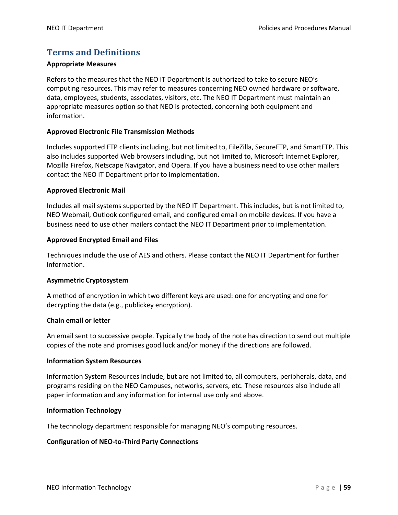# **Terms and Definitions**

#### **Appropriate Measures**

Refers to the measures that the NEO IT Department is authorized to take to secure NEO's computing resources. This may refer to measures concerning NEO owned hardware or software, data, employees, students, associates, visitors, etc. The NEO IT Department must maintain an appropriate measures option so that NEO is protected, concerning both equipment and information.

#### **Approved Electronic File Transmission Methods**

Includes supported FTP clients including, but not limited to, FileZilla, SecureFTP, and SmartFTP. This also includes supported Web browsers including, but not limited to, Microsoft Internet Explorer, Mozilla Firefox, Netscape Navigator, and Opera. If you have a business need to use other mailers contact the NEO IT Department prior to implementation.

#### **Approved Electronic Mail**

Includes all mail systems supported by the NEO IT Department. This includes, but is not limited to, NEO Webmail, Outlook configured email, and configured email on mobile devices. If you have a business need to use other mailers contact the NEO IT Department prior to implementation.

#### **Approved Encrypted Email and Files**

Techniques include the use of AES and others. Please contact the NEO IT Department for further information.

#### **Asymmetric Cryptosystem**

A method of encryption in which two different keys are used: one for encrypting and one for decrypting the data (e.g., publickey encryption).

#### **Chain email or letter**

An email sent to successive people. Typically the body of the note has direction to send out multiple copies of the note and promises good luck and/or money if the directions are followed.

#### **Information System Resources**

Information System Resources include, but are not limited to, all computers, peripherals, data, and programs residing on the NEO Campuses, networks, servers, etc. These resources also include all paper information and any information for internal use only and above.

#### **Information Technology**

The technology department responsible for managing NEO's computing resources.

#### **Configuration of NEO-to-Third Party Connections**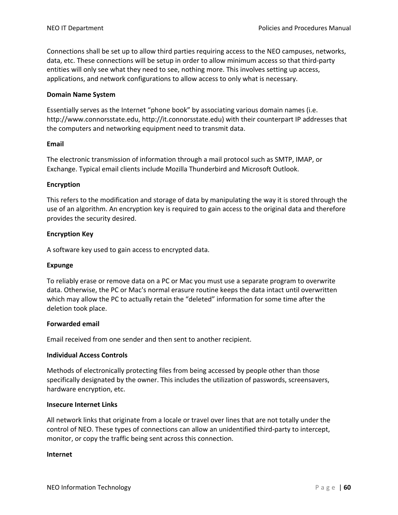Connections shall be set up to allow third parties requiring access to the NEO campuses, networks, data, etc. These connections will be setup in order to allow minimum access so that third-party entities will only see what they need to see, nothing more. This involves setting up access, applications, and network configurations to allow access to only what is necessary.

#### **Domain Name System**

Essentially serves as the Internet "phone book" by associating various domain names (i.e. http://www.connorsstate.edu, http://it.connorsstate.edu) with their counterpart IP addresses that the computers and networking equipment need to transmit data.

#### **Email**

The electronic transmission of information through a mail protocol such as SMTP, IMAP, or Exchange. Typical email clients include Mozilla Thunderbird and Microsoft Outlook.

#### **Encryption**

This refers to the modification and storage of data by manipulating the way it is stored through the use of an algorithm. An encryption key is required to gain access to the original data and therefore provides the security desired.

#### **Encryption Key**

A software key used to gain access to encrypted data.

#### **Expunge**

To reliably erase or remove data on a PC or Mac you must use a separate program to overwrite data. Otherwise, the PC or Mac's normal erasure routine keeps the data intact until overwritten which may allow the PC to actually retain the "deleted" information for some time after the deletion took place.

#### **Forwarded email**

Email received from one sender and then sent to another recipient.

#### **Individual Access Controls**

Methods of electronically protecting files from being accessed by people other than those specifically designated by the owner. This includes the utilization of passwords, screensavers, hardware encryption, etc.

#### **Insecure Internet Links**

All network links that originate from a locale or travel over lines that are not totally under the control of NEO. These types of connections can allow an unidentified third-party to intercept, monitor, or copy the traffic being sent across this connection.

#### **Internet**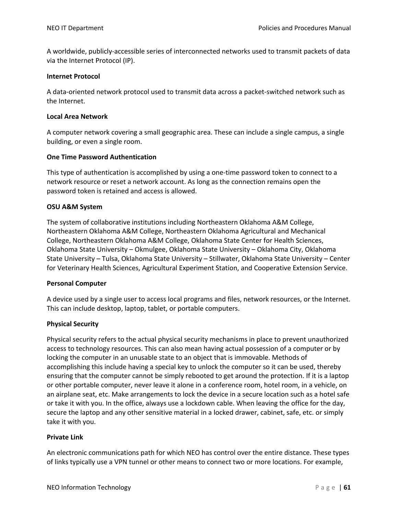A worldwide, publicly-accessible series of interconnected networks used to transmit packets of data via the Internet Protocol (IP).

#### **Internet Protocol**

A data-oriented network protocol used to transmit data across a packet-switched network such as the Internet.

#### **Local Area Network**

A computer network covering a small geographic area. These can include a single campus, a single building, or even a single room.

#### **One Time Password Authentication**

This type of authentication is accomplished by using a one-time password token to connect to a network resource or reset a network account. As long as the connection remains open the password token is retained and access is allowed.

#### **OSU A&M System**

The system of collaborative institutions including Northeastern Oklahoma A&M College, Northeastern Oklahoma A&M College, Northeastern Oklahoma Agricultural and Mechanical College, Northeastern Oklahoma A&M College, Oklahoma State Center for Health Sciences, Oklahoma State University – Okmulgee, Oklahoma State University – Oklahoma City, Oklahoma State University – Tulsa, Oklahoma State University – Stillwater, Oklahoma State University – Center for Veterinary Health Sciences, Agricultural Experiment Station, and Cooperative Extension Service.

#### **Personal Computer**

A device used by a single user to access local programs and files, network resources, or the Internet. This can include desktop, laptop, tablet, or portable computers.

## **Physical Security**

Physical security refers to the actual physical security mechanisms in place to prevent unauthorized access to technology resources. This can also mean having actual possession of a computer or by locking the computer in an unusable state to an object that is immovable. Methods of accomplishing this include having a special key to unlock the computer so it can be used, thereby ensuring that the computer cannot be simply rebooted to get around the protection. If it is a laptop or other portable computer, never leave it alone in a conference room, hotel room, in a vehicle, on an airplane seat, etc. Make arrangements to lock the device in a secure location such as a hotel safe or take it with you. In the office, always use a lockdown cable. When leaving the office for the day, secure the laptop and any other sensitive material in a locked drawer, cabinet, safe, etc. or simply take it with you.

#### **Private Link**

An electronic communications path for which NEO has control over the entire distance. These types of links typically use a VPN tunnel or other means to connect two or more locations. For example,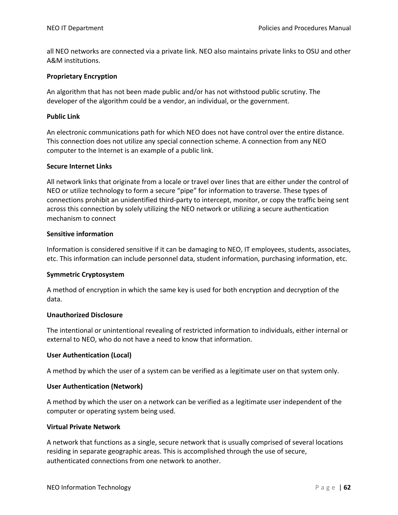all NEO networks are connected via a private link. NEO also maintains private links to OSU and other A&M institutions.

#### **Proprietary Encryption**

An algorithm that has not been made public and/or has not withstood public scrutiny. The developer of the algorithm could be a vendor, an individual, or the government.

#### **Public Link**

An electronic communications path for which NEO does not have control over the entire distance. This connection does not utilize any special connection scheme. A connection from any NEO computer to the Internet is an example of a public link.

#### **Secure Internet Links**

All network links that originate from a locale or travel over lines that are either under the control of NEO or utilize technology to form a secure "pipe" for information to traverse. These types of connections prohibit an unidentified third-party to intercept, monitor, or copy the traffic being sent across this connection by solely utilizing the NEO network or utilizing a secure authentication mechanism to connect

#### **Sensitive information**

Information is considered sensitive if it can be damaging to NEO, IT employees, students, associates, etc. This information can include personnel data, student information, purchasing information, etc.

#### **Symmetric Cryptosystem**

A method of encryption in which the same key is used for both encryption and decryption of the data.

#### **Unauthorized Disclosure**

The intentional or unintentional revealing of restricted information to individuals, either internal or external to NEO, who do not have a need to know that information.

#### **User Authentication (Local)**

A method by which the user of a system can be verified as a legitimate user on that system only.

#### **User Authentication (Network)**

A method by which the user on a network can be verified as a legitimate user independent of the computer or operating system being used.

#### **Virtual Private Network**

A network that functions as a single, secure network that is usually comprised of several locations residing in separate geographic areas. This is accomplished through the use of secure, authenticated connections from one network to another.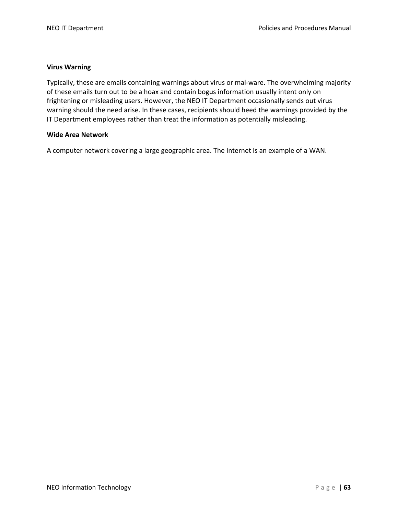#### **Virus Warning**

Typically, these are emails containing warnings about virus or mal-ware. The overwhelming majority of these emails turn out to be a hoax and contain bogus information usually intent only on frightening or misleading users. However, the NEO IT Department occasionally sends out virus warning should the need arise. In these cases, recipients should heed the warnings provided by the IT Department employees rather than treat the information as potentially misleading.

#### **Wide Area Network**

A computer network covering a large geographic area. The Internet is an example of a WAN.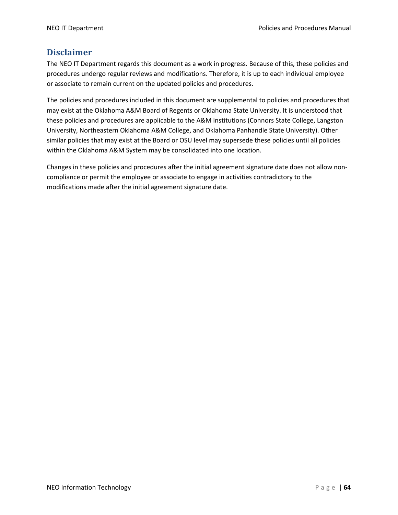# **Disclaimer**

The NEO IT Department regards this document as a work in progress. Because of this, these policies and procedures undergo regular reviews and modifications. Therefore, it is up to each individual employee or associate to remain current on the updated policies and procedures.

The policies and procedures included in this document are supplemental to policies and procedures that may exist at the Oklahoma A&M Board of Regents or Oklahoma State University. It is understood that these policies and procedures are applicable to the A&M institutions (Connors State College, Langston University, Northeastern Oklahoma A&M College, and Oklahoma Panhandle State University). Other similar policies that may exist at the Board or OSU level may supersede these policies until all policies within the Oklahoma A&M System may be consolidated into one location.

Changes in these policies and procedures after the initial agreement signature date does not allow noncompliance or permit the employee or associate to engage in activities contradictory to the modifications made after the initial agreement signature date.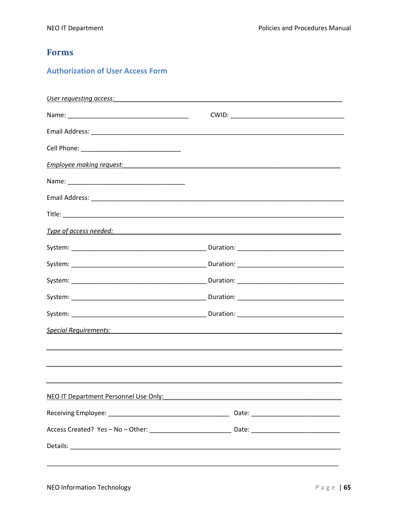# **Forms**

# **Authorization of User Access Form**

| User requesting access:                                                                                                                                                                                                        |                                                    |
|--------------------------------------------------------------------------------------------------------------------------------------------------------------------------------------------------------------------------------|----------------------------------------------------|
|                                                                                                                                                                                                                                |                                                    |
|                                                                                                                                                                                                                                |                                                    |
|                                                                                                                                                                                                                                |                                                    |
|                                                                                                                                                                                                                                |                                                    |
|                                                                                                                                                                                                                                |                                                    |
|                                                                                                                                                                                                                                |                                                    |
|                                                                                                                                                                                                                                |                                                    |
|                                                                                                                                                                                                                                |                                                    |
|                                                                                                                                                                                                                                |                                                    |
|                                                                                                                                                                                                                                |                                                    |
|                                                                                                                                                                                                                                |                                                    |
|                                                                                                                                                                                                                                |                                                    |
|                                                                                                                                                                                                                                |                                                    |
|                                                                                                                                                                                                                                | <u>Special Requirements:</u> Special Requirements: |
|                                                                                                                                                                                                                                |                                                    |
|                                                                                                                                                                                                                                |                                                    |
|                                                                                                                                                                                                                                |                                                    |
| NEO IT Department Personnel Use Only: New York Contract to the Contract of the Contract of the Contract of the Contract of the Contract of the Contract of the Contract of the Contract of the Contract of the Contract of the |                                                    |
|                                                                                                                                                                                                                                |                                                    |
|                                                                                                                                                                                                                                |                                                    |
|                                                                                                                                                                                                                                |                                                    |
|                                                                                                                                                                                                                                |                                                    |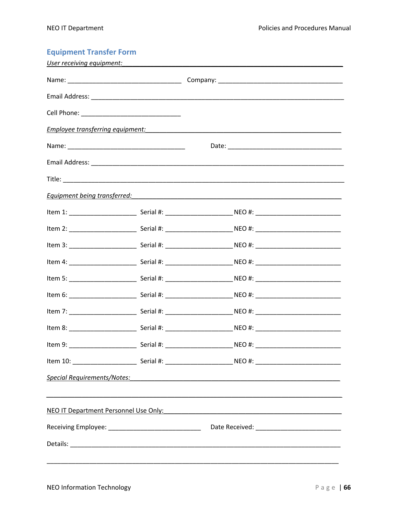# **Equipment Transfer Form**<br>User receiving equipment:

| <u>User receiving equipment:</u> |                                                                                                                                                                                                                                    |  |
|----------------------------------|------------------------------------------------------------------------------------------------------------------------------------------------------------------------------------------------------------------------------------|--|
|                                  |                                                                                                                                                                                                                                    |  |
|                                  |                                                                                                                                                                                                                                    |  |
|                                  |                                                                                                                                                                                                                                    |  |
|                                  |                                                                                                                                                                                                                                    |  |
|                                  |                                                                                                                                                                                                                                    |  |
|                                  |                                                                                                                                                                                                                                    |  |
|                                  |                                                                                                                                                                                                                                    |  |
|                                  | <b>Equipment being transferred:</b> The account of the set of the set of the set of the set of the set of the set of the set of the set of the set of the set of the set of the set of the set of the set of the set of the set of |  |
|                                  |                                                                                                                                                                                                                                    |  |
|                                  |                                                                                                                                                                                                                                    |  |
|                                  |                                                                                                                                                                                                                                    |  |
|                                  |                                                                                                                                                                                                                                    |  |
|                                  |                                                                                                                                                                                                                                    |  |
|                                  |                                                                                                                                                                                                                                    |  |
|                                  |                                                                                                                                                                                                                                    |  |
|                                  |                                                                                                                                                                                                                                    |  |
|                                  |                                                                                                                                                                                                                                    |  |
|                                  |                                                                                                                                                                                                                                    |  |
|                                  | Special Requirements/Notes: All Allen Contract Contract Contract Contract Contract Contract Contract Contract Contract Contract Contract Contract Contract Contract Contract Contract Contract Contract Contract Contract Cont     |  |
|                                  |                                                                                                                                                                                                                                    |  |
|                                  | NEO IT Department Personnel Use Only: Network and Contact the Contact of the Contact of the Contact of the Contact of the Contact of the Contact of the Contact of the Contact of the Contact of the Contact of the Contact of     |  |
|                                  |                                                                                                                                                                                                                                    |  |
|                                  |                                                                                                                                                                                                                                    |  |
|                                  |                                                                                                                                                                                                                                    |  |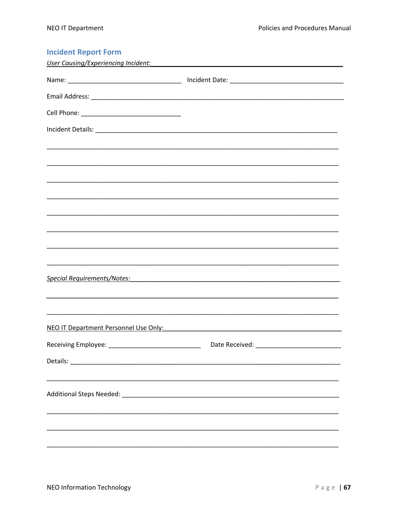| <b>Incident Report Form</b>                |                                                                        |
|--------------------------------------------|------------------------------------------------------------------------|
| <b>User Causing/Experiencing Incident:</b> |                                                                        |
|                                            |                                                                        |
|                                            |                                                                        |
|                                            |                                                                        |
|                                            |                                                                        |
|                                            |                                                                        |
|                                            |                                                                        |
|                                            |                                                                        |
|                                            |                                                                        |
|                                            |                                                                        |
|                                            |                                                                        |
|                                            |                                                                        |
|                                            |                                                                        |
|                                            |                                                                        |
| Special Requirements/Notes:                | <u> 1980 - Jan Samuel Barbara, margaret eta biztanleria (h. 1980).</u> |
|                                            |                                                                        |
|                                            |                                                                        |
| NEO IT Department Personnel Use Only:      |                                                                        |
|                                            |                                                                        |
|                                            |                                                                        |
|                                            |                                                                        |
|                                            |                                                                        |
|                                            |                                                                        |
|                                            |                                                                        |
|                                            |                                                                        |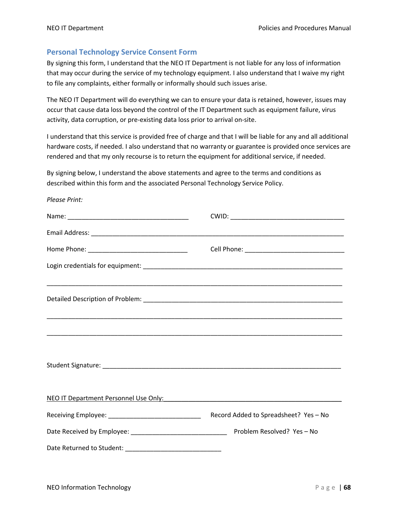*Please Print:*

#### **Personal Technology Service Consent Form**

By signing this form, I understand that the NEO IT Department is not liable for any loss of information that may occur during the service of my technology equipment. I also understand that I waive my right to file any complaints, either formally or informally should such issues arise.

The NEO IT Department will do everything we can to ensure your data is retained, however, issues may occur that cause data loss beyond the control of the IT Department such as equipment failure, virus activity, data corruption, or pre-existing data loss prior to arrival on-site.

I understand that this service is provided free of charge and that I will be liable for any and all additional hardware costs, if needed. I also understand that no warranty or guarantee is provided once services are rendered and that my only recourse is to return the equipment for additional service, if needed.

By signing below, I understand the above statements and agree to the terms and conditions as described within this form and the associated Personal Technology Service Policy.

| ,我们也不能在这里的人,我们也不能在这里的人,我们也不能在这里的人,我们也不能在这里的人,我们也不能在这里的人,我们也不能在这里的人,我们也不能在这里的人,我们也                                                                                                                                              |                                       |
|--------------------------------------------------------------------------------------------------------------------------------------------------------------------------------------------------------------------------------|---------------------------------------|
|                                                                                                                                                                                                                                |                                       |
|                                                                                                                                                                                                                                |                                       |
|                                                                                                                                                                                                                                |                                       |
|                                                                                                                                                                                                                                |                                       |
|                                                                                                                                                                                                                                |                                       |
|                                                                                                                                                                                                                                |                                       |
| NEO IT Department Personnel Use Only: Network and Contact the Contact of the Contact of the Contact of the Contact of the Contact of the Contact of the Contact of the Contact of the Contact of the Contact of the Contact of |                                       |
|                                                                                                                                                                                                                                | Record Added to Spreadsheet? Yes - No |
|                                                                                                                                                                                                                                |                                       |
|                                                                                                                                                                                                                                |                                       |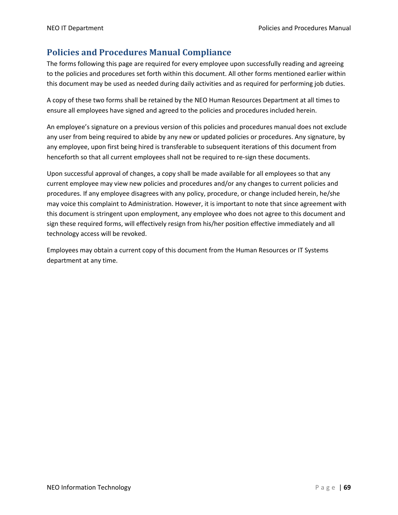# **Policies and Procedures Manual Compliance**

The forms following this page are required for every employee upon successfully reading and agreeing to the policies and procedures set forth within this document. All other forms mentioned earlier within this document may be used as needed during daily activities and as required for performing job duties.

A copy of these two forms shall be retained by the NEO Human Resources Department at all times to ensure all employees have signed and agreed to the policies and procedures included herein.

An employee's signature on a previous version of this policies and procedures manual does not exclude any user from being required to abide by any new or updated policies or procedures. Any signature, by any employee, upon first being hired is transferable to subsequent iterations of this document from henceforth so that all current employees shall not be required to re-sign these documents.

Upon successful approval of changes, a copy shall be made available for all employees so that any current employee may view new policies and procedures and/or any changes to current policies and procedures. If any employee disagrees with any policy, procedure, or change included herein, he/she may voice this complaint to Administration. However, it is important to note that since agreement with this document is stringent upon employment, any employee who does not agree to this document and sign these required forms, will effectively resign from his/her position effective immediately and all technology access will be revoked.

Employees may obtain a current copy of this document from the Human Resources or IT Systems department at any time.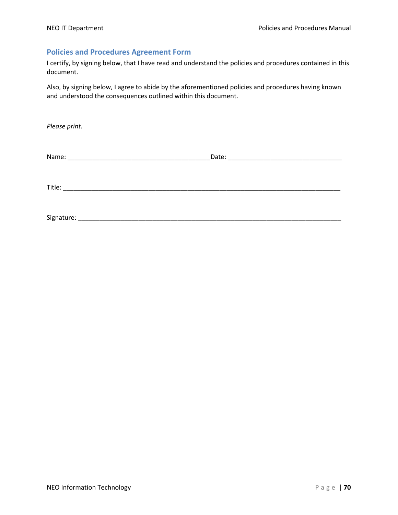## **Policies and Procedures Agreement Form**

I certify, by signing below, that I have read and understand the policies and procedures contained in this document.

Also, by signing below, I agree to abide by the aforementioned policies and procedures having known and understood the consequences outlined within this document.

*Please print.*

| Name:      | Date:<br><u> 1980 - Johann Barn, mars eta bainar eta bainar eta baina eta baina eta baina eta baina eta baina eta baina e</u> |  |
|------------|-------------------------------------------------------------------------------------------------------------------------------|--|
|            |                                                                                                                               |  |
|            |                                                                                                                               |  |
|            |                                                                                                                               |  |
| Title:     |                                                                                                                               |  |
|            |                                                                                                                               |  |
|            |                                                                                                                               |  |
|            |                                                                                                                               |  |
| Signature: |                                                                                                                               |  |

NEO Information Technology Page | **70**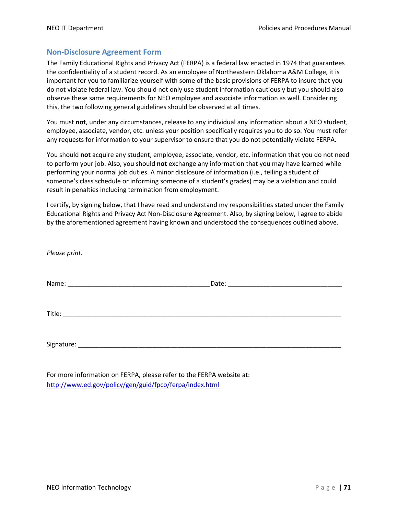## **Non-Disclosure Agreement Form**

The Family Educational Rights and Privacy Act (FERPA) is a federal law enacted in 1974 that guarantees the confidentiality of a student record. As an employee of Northeastern Oklahoma A&M College, it is important for you to familiarize yourself with some of the basic provisions of FERPA to insure that you do not violate federal law. You should not only use student information cautiously but you should also observe these same requirements for NEO employee and associate information as well. Considering this, the two following general guidelines should be observed at all times.

You must **not**, under any circumstances, release to any individual any information about a NEO student, employee, associate, vendor, etc. unless your position specifically requires you to do so. You must refer any requests for information to your supervisor to ensure that you do not potentially violate FERPA.

You should **not** acquire any student, employee, associate, vendor, etc. information that you do not need to perform your job. Also, you should **not** exchange any information that you may have learned while performing your normal job duties. A minor disclosure of information (i.e., telling a student of someone's class schedule or informing someone of a student's grades) may be a violation and could result in penalties including termination from employment.

I certify, by signing below, that I have read and understand my responsibilities stated under the Family Educational Rights and Privacy Act Non-Disclosure Agreement. Also, by signing below, I agree to abide by the aforementioned agreement having known and understood the consequences outlined above.

| Please print. |  |
|---------------|--|
|               |  |
|               |  |
|               |  |

For more information on FERPA, please refer to the FERPA website at: http://www.ed.gov/policy/gen/guid/fpco/ferpa/index.html